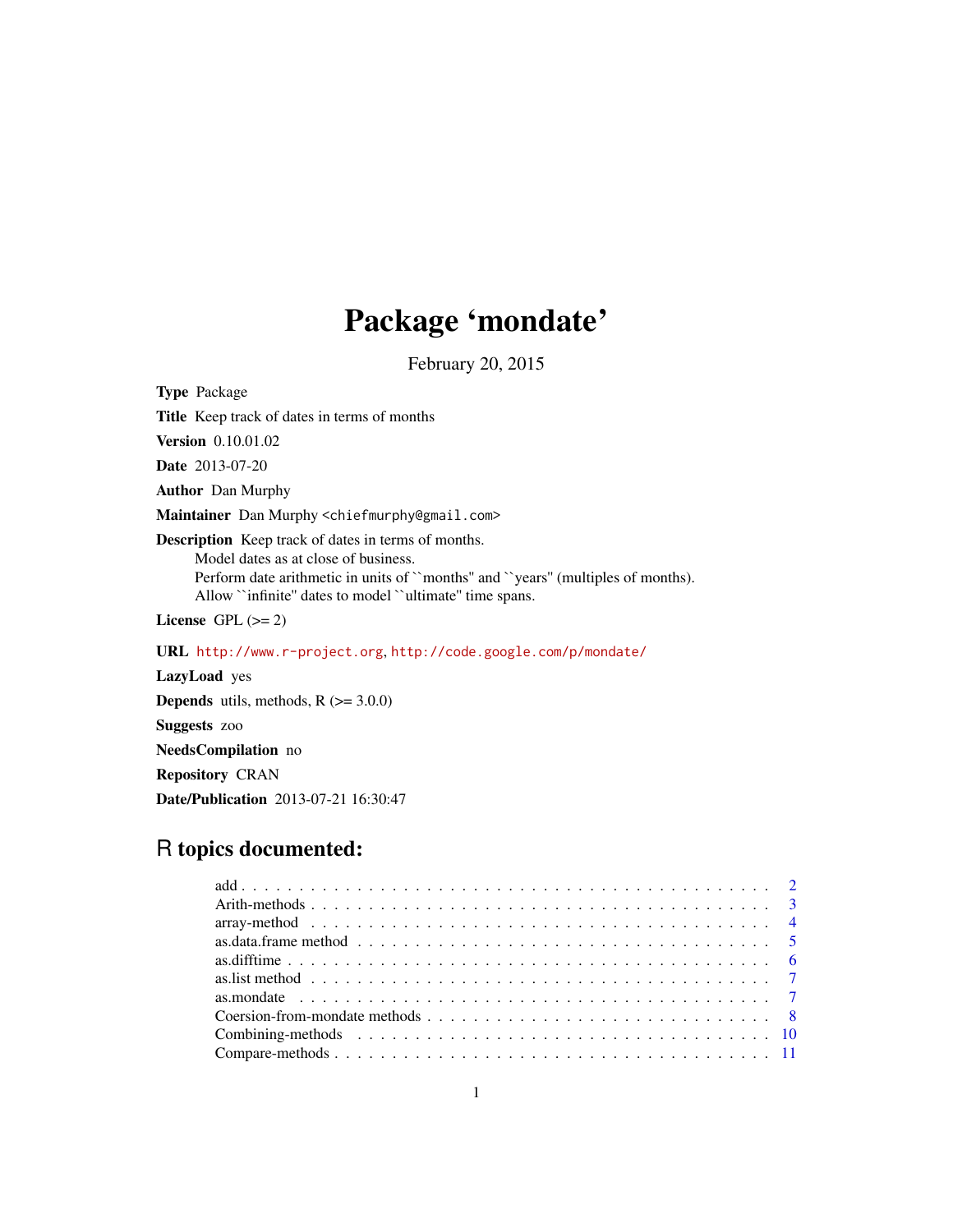## Package 'mondate'

February 20, 2015

<span id="page-0-0"></span>Type Package

Title Keep track of dates in terms of months

Version 0.10.01.02

Date 2013-07-20

Author Dan Murphy

Maintainer Dan Murphy <chiefmurphy@gmail.com>

Description Keep track of dates in terms of months.

Model dates as at close of business. Perform date arithmetic in units of ``months'' and ``years'' (multiples of months). Allow ``infinite'' dates to model ``ultimate'' time spans.

License GPL  $(>= 2)$ 

URL <http://www.r-project.org>, <http://code.google.com/p/mondate/>

LazyLoad yes **Depends** utils, methods,  $R$  ( $>= 3.0.0$ ) Suggests zoo NeedsCompilation no Repository CRAN Date/Publication 2013-07-21 16:30:47

## R topics documented:

| as. list method $\ldots \ldots \ldots \ldots \ldots \ldots \ldots \ldots \ldots \ldots \ldots \ldots \ldots$ |  |
|--------------------------------------------------------------------------------------------------------------|--|
|                                                                                                              |  |
|                                                                                                              |  |
|                                                                                                              |  |
|                                                                                                              |  |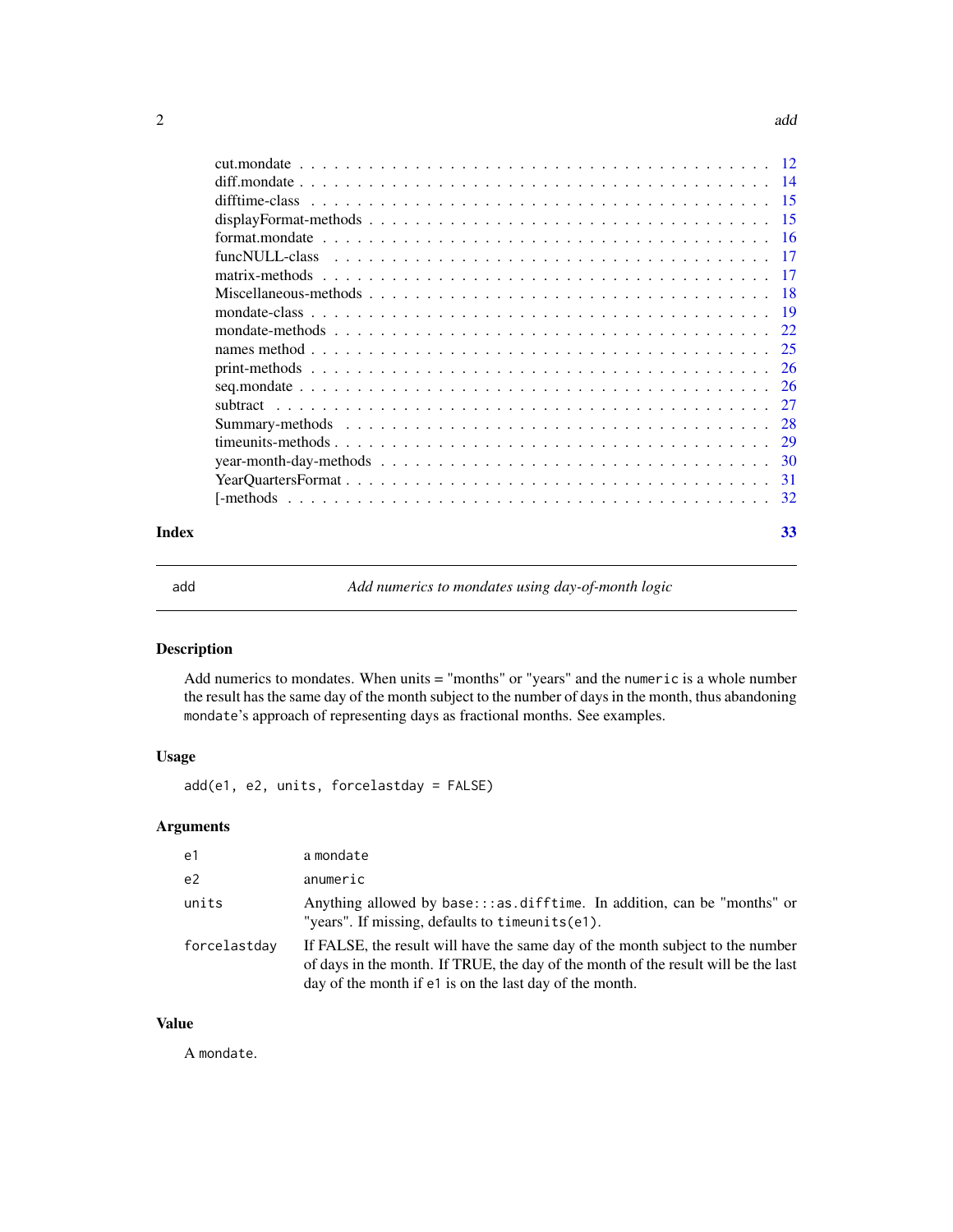#### <span id="page-1-0"></span> $2 \cos \theta$  and  $\theta$  and  $\theta$  and  $\theta$  and  $\theta$  and  $\theta$  and  $\theta$  and  $\theta$  and  $\theta$  and  $\theta$  and  $\theta$  and  $\theta$  and  $\theta$  and  $\theta$  and  $\theta$  and  $\theta$  and  $\theta$  and  $\theta$  and  $\theta$  and  $\theta$  and  $\theta$  and  $\theta$  and  $\theta$  and  $\theta$  and  $\$

| $\overline{14}$ |
|-----------------|
| -15             |
| -15             |
| -16             |
| - 17            |
| -17             |
| -18             |
| -19             |
| 22              |
| 25              |
| 26              |
|                 |
|                 |
| -28             |
| 29              |
| 30              |
| 31              |
|                 |
|                 |

#### **Index** [33](#page-32-0)

add *Add numerics to mondates using day-of-month logic*

## Description

Add numerics to mondates. When units = "months" or "years" and the numeric is a whole number the result has the same day of the month subject to the number of days in the month, thus abandoning mondate's approach of representing days as fractional months. See examples.

## Usage

add(e1, e2, units, forcelastday = FALSE)

## Arguments

| e1             | a mondate                                                                                                                                                                                                                       |
|----------------|---------------------------------------------------------------------------------------------------------------------------------------------------------------------------------------------------------------------------------|
| e <sub>2</sub> | anumeric                                                                                                                                                                                                                        |
| units          | Anything allowed by base:::as.difftime. In addition, can be "months" or<br>"years". If missing, defaults to $t$ imeunits $(e1)$ .                                                                                               |
| forcelastday   | If FALSE, the result will have the same day of the month subject to the number<br>of days in the month. If TRUE, the day of the month of the result will be the last<br>day of the month if e1 is on the last day of the month. |

## Value

A mondate.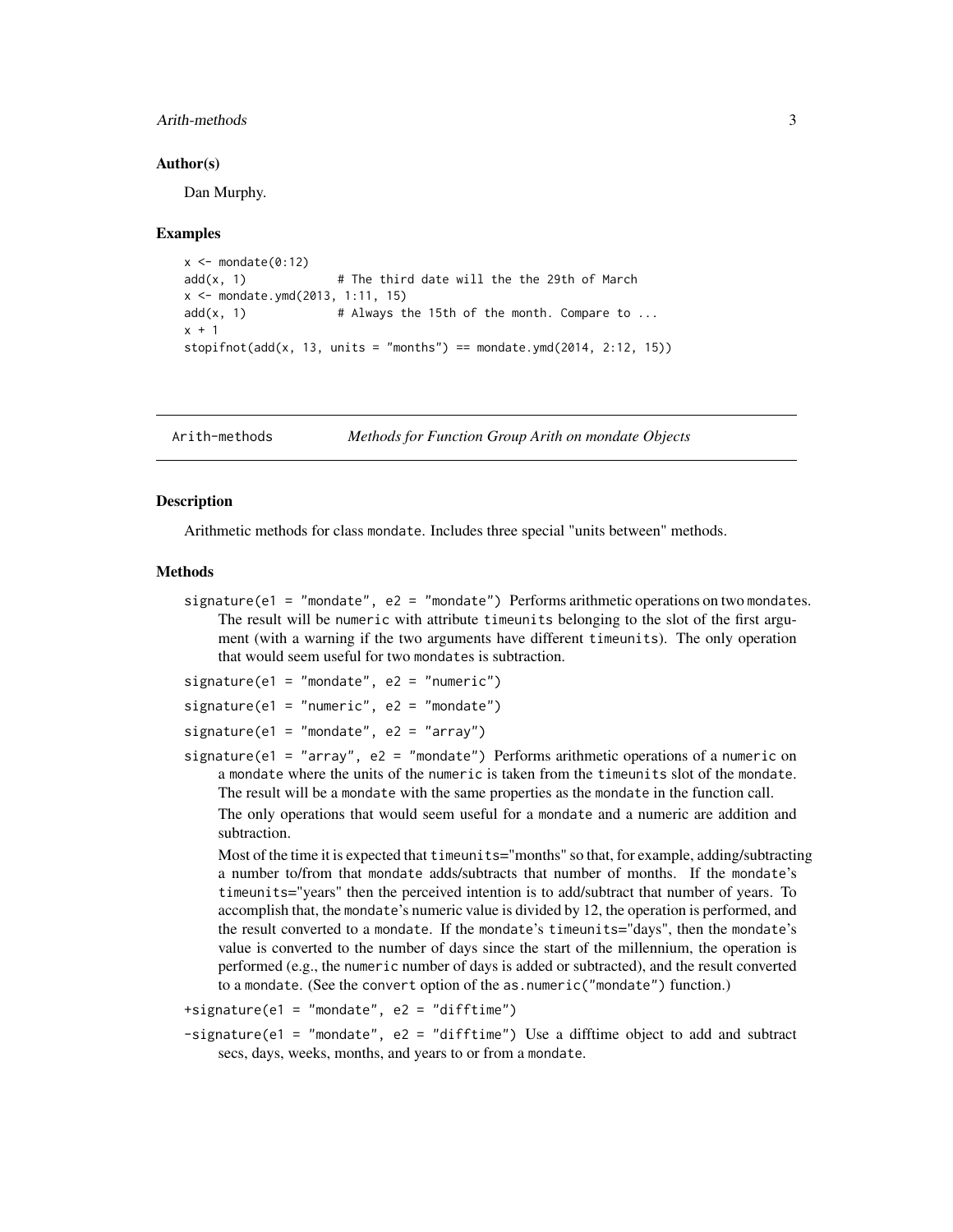#### <span id="page-2-0"></span>Arith-methods 3

#### Author(s)

Dan Murphy.

#### Examples

```
x \le - mondate(0:12)
add(x, 1) # The third date will the the 29th of March
x <- mondate.ymd(2013, 1:11, 15)
add(x, 1) # Always the 15th of the month. Compare to ...
x + 1stopifnot(add(x, 13, units = "months") == mondate.ymd(2014, 2:12, 15))
```
Arith-methods *Methods for Function Group Arith on mondate Objects*

#### **Description**

Arithmetic methods for class mondate. Includes three special "units between" methods.

#### Methods

signature(e1 = "mondate", e2 = "mondate") Performs arithmetic operations on two mondates. The result will be numeric with attribute timeunits belonging to the slot of the first argument (with a warning if the two arguments have different timeunits). The only operation that would seem useful for two mondates is subtraction.

```
signature(e1 = "mondate", e2 = "numeric")
```

```
signature(e1 = "numeric", e2 = "mondate")
```

```
signature(e1 = "mondate", e2 = "array")
```
signature(e1 = "array", e2 = "mondate") Performs arithmetic operations of a numeric on a mondate where the units of the numeric is taken from the timeunits slot of the mondate. The result will be a mondate with the same properties as the mondate in the function call.

The only operations that would seem useful for a mondate and a numeric are addition and subtraction.

Most of the time it is expected that timeunits="months" so that, for example, adding/subtracting a number to/from that mondate adds/subtracts that number of months. If the mondate's timeunits="years" then the perceived intention is to add/subtract that number of years. To accomplish that, the mondate's numeric value is divided by 12, the operation is performed, and the result converted to a mondate. If the mondate's timeunits="days", then the mondate's value is converted to the number of days since the start of the millennium, the operation is performed (e.g., the numeric number of days is added or subtracted), and the result converted to a mondate. (See the convert option of the as.numeric("mondate") function.)

```
+signature(e1 = "mondate", e2 = "difftime")
```
-signature(e1 = "mondate", e2 = "difftime") Use a difftime object to add and subtract secs, days, weeks, months, and years to or from a mondate.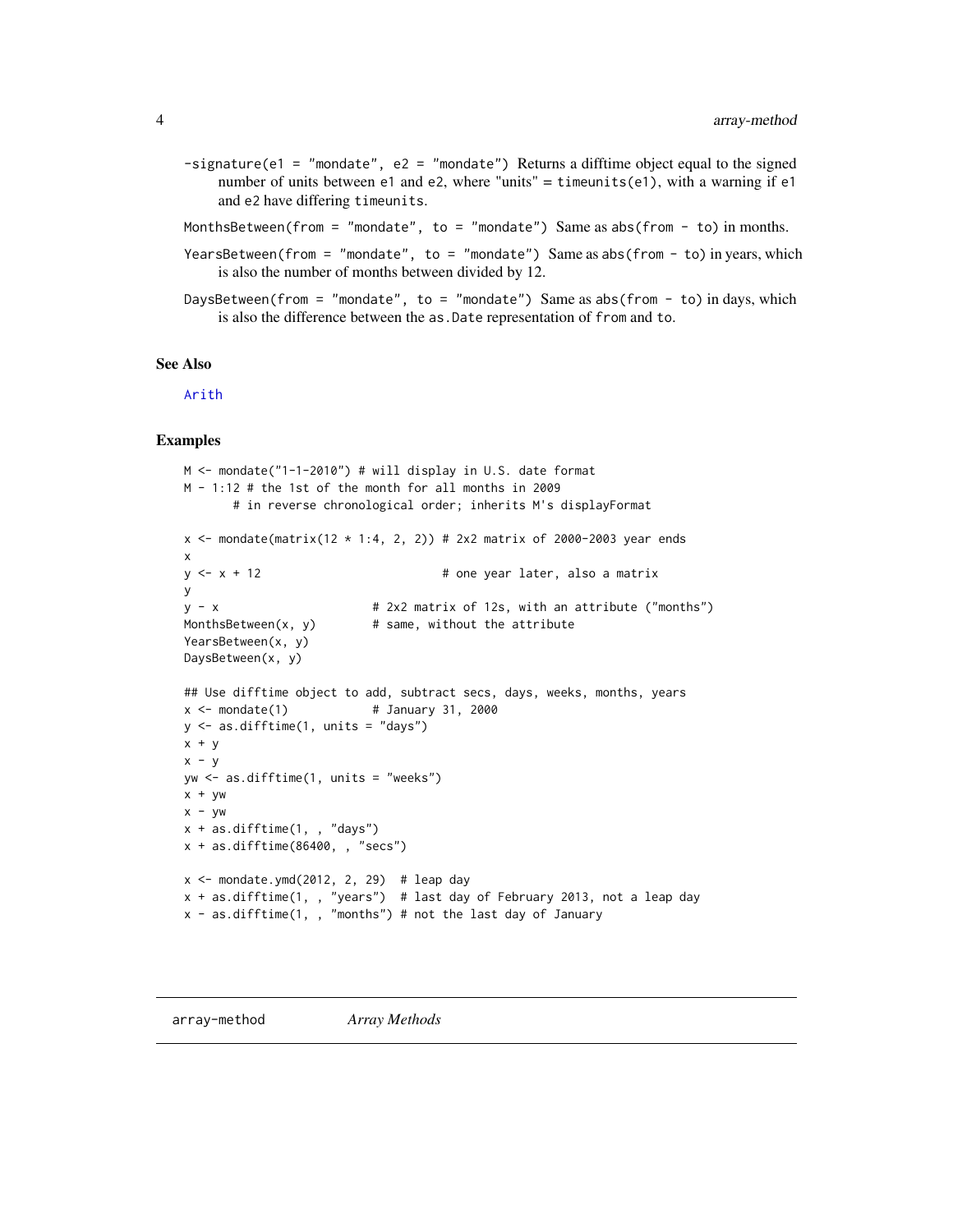- <span id="page-3-0"></span> $-signature(e1 = "mondate", e2 = "mondate")$  Returns a difftime object equal to the signed number of units between  $e1$  and  $e2$ , where "units" = timeunits( $e1$ ), with a warning if  $e1$ and e2 have differing timeunits.
- MonthsBetween(from = "mondate", to = "mondate") Same as abs(from to) in months.
- YearsBetween(from = "mondate", to = "mondate") Same as abs(from to) in years, which is also the number of months between divided by 12.
- DaysBetween(from = "mondate", to = "mondate") Same as abs(from to) in days, which is also the difference between the as.Date representation of from and to.

#### See Also

[Arith](#page-0-0)

```
M <- mondate("1-1-2010") # will display in U.S. date format
M - 1:12 # the 1st of the month for all months in 2009
      # in reverse chronological order; inherits M's displayFormat
x <- mondate(matrix(12 * 1:4, 2, 2)) # 2x2 matrix of 2000-2003 year ends
x
y \le x + 12 # one year later, also a matrix
y
y - x \# 2x2 matrix of 12s, with an attribute ("months")
MonthsBetween(x, y) # same, without the attribute
YearsBetween(x, y)
DaysBetween(x, y)
## Use difftime object to add, subtract secs, days, weeks, months, years
x < - mondate(1) # January 31, 2000
y \leftarrow as.difftime(1, units = "days")x + yx - yyw <- as.difftime(1, units = "weeks")
x + ywx - ywx + as.difftime(1, , 'days")x + as.difftime(86400, , "secs")
x \le mondate.ymd(2012, 2, 29) # leap day
x + as.difftime(1, , "years") # last day of February 2013, not a leap day
x - as.difftime(1, , "months") # not the last day of January
```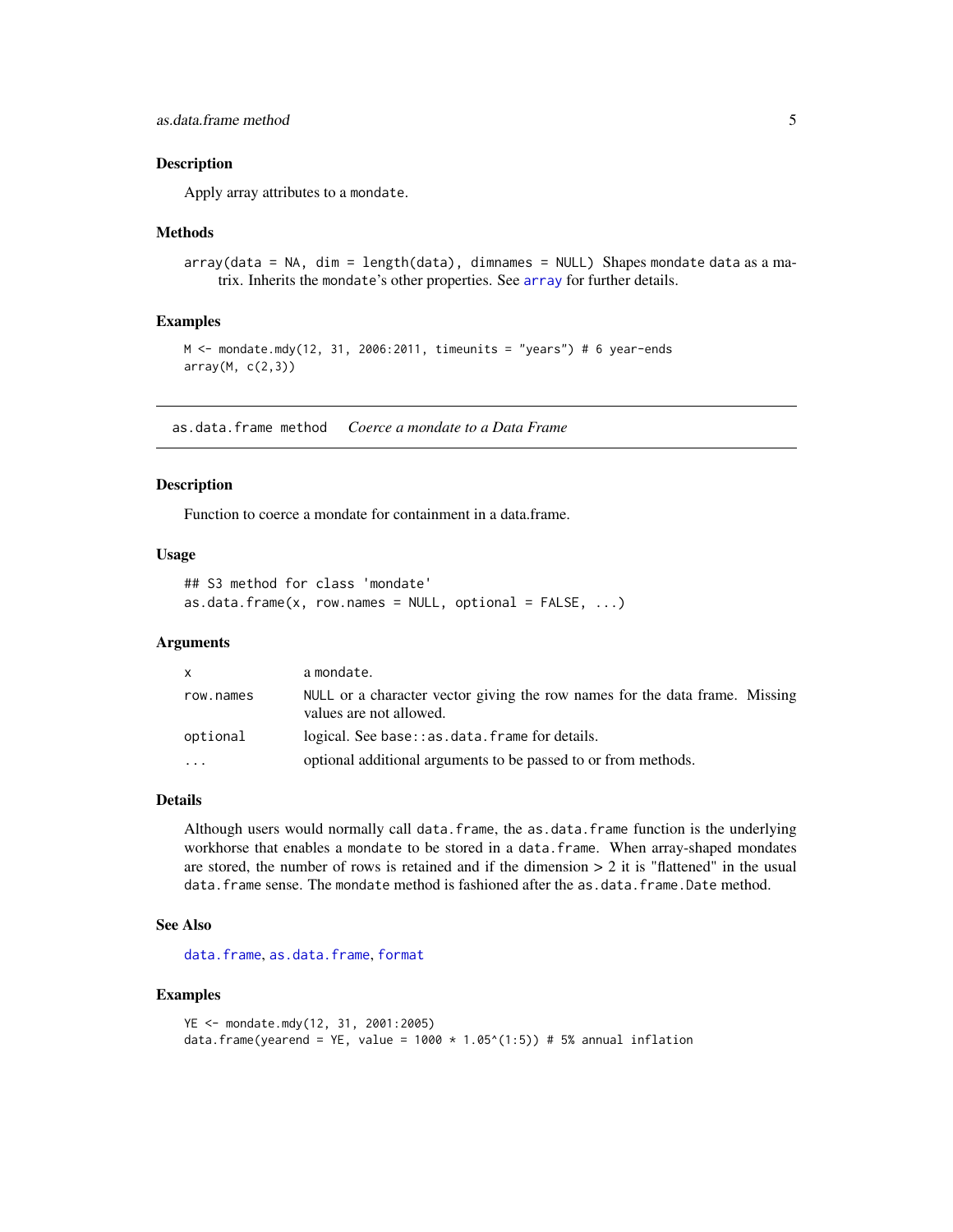<span id="page-4-0"></span>Apply array attributes to a mondate.

#### Methods

array(data = NA, dim = length(data), dimnames = NULL) Shapes mondate data as a matrix. Inherits the mondate's other properties. See [array](#page-3-1) for further details.

#### Examples

```
M < - mondate.mdy(12, 31, 2006:2011, timeunits = "years") # 6 year-ends
array(M, c(2,3))
```
as.data.frame method *Coerce a mondate to a Data Frame*

#### Description

Function to coerce a mondate for containment in a data.frame.

## Usage

```
## S3 method for class 'mondate'
as.data.frame(x, row.names = NULL, optional = FALSE, ...)
```
## Arguments

| X         | a mondate.                                                                                             |
|-----------|--------------------------------------------------------------------------------------------------------|
| row.names | NULL or a character vector giving the row names for the data frame. Missing<br>values are not allowed. |
| optional  | logical. See base:: as.data.frame for details.                                                         |
| .         | optional additional arguments to be passed to or from methods.                                         |

#### Details

Although users would normally call data.frame, the as.data.frame function is the underlying workhorse that enables a mondate to be stored in a data.frame. When array-shaped mondates are stored, the number of rows is retained and if the dimension  $> 2$  it is "flattened" in the usual data. frame sense. The mondate method is fashioned after the as.data.frame.Date method.

## See Also

[data.frame](#page-0-0), [as.data.frame](#page-0-0), [format](#page-0-0)

```
YE <- mondate.mdy(12, 31, 2001:2005)
data.frame(yearend = YE, value = 1000 \times 1.05^{\circ}(1:5)) # 5% annual inflation
```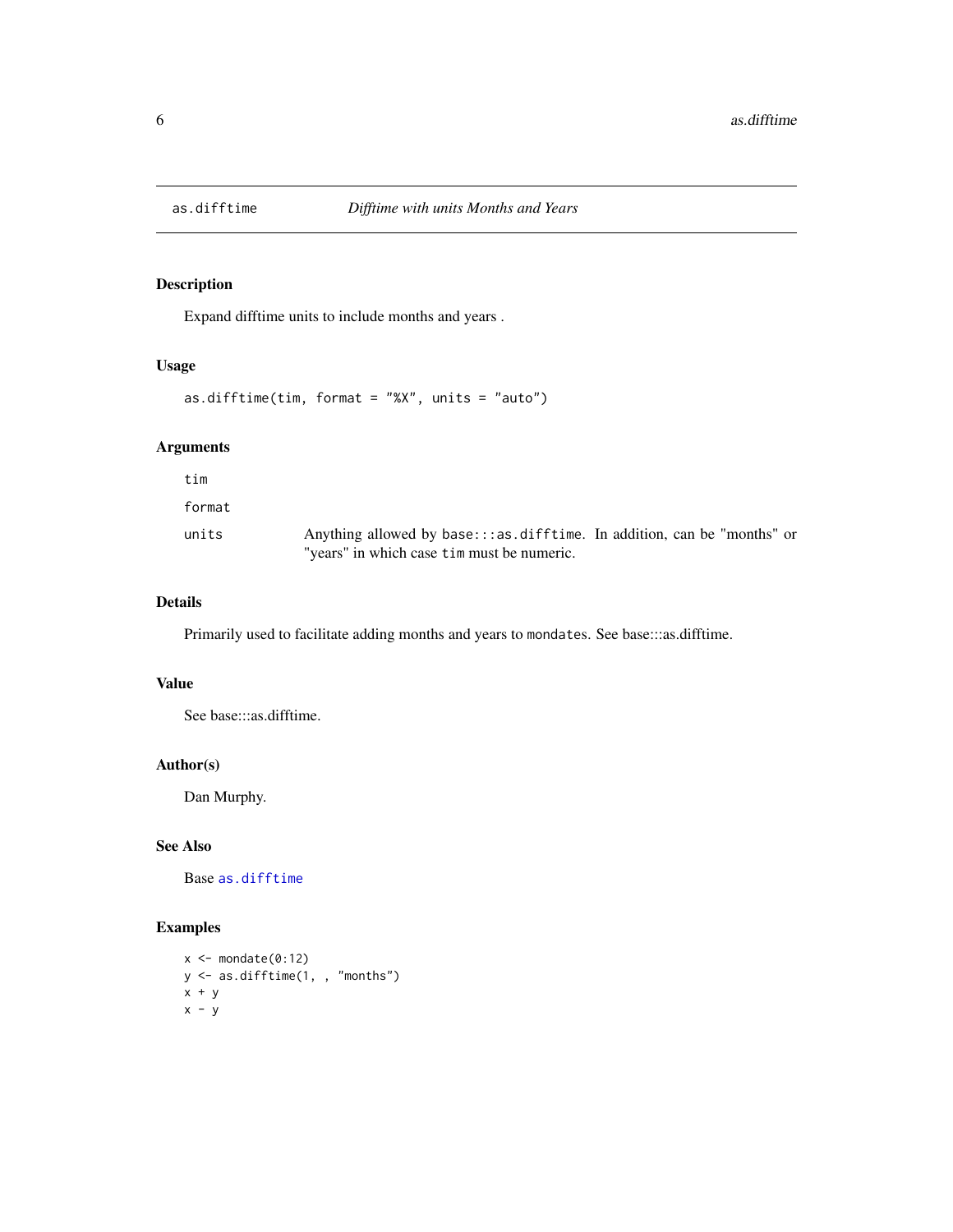<span id="page-5-1"></span><span id="page-5-0"></span>

Expand difftime units to include months and years .

#### Usage

as.difftime(tim, format = "%X", units = "auto")

## Arguments

tim format

units Anything allowed by base:::as.difftime. In addition, can be "months" or "years" in which case tim must be numeric.

## Details

Primarily used to facilitate adding months and years to mondates. See base:::as.difftime.

## Value

See base:::as.difftime.

#### Author(s)

Dan Murphy.

## See Also

Base [as.difftime](#page-5-1)

```
x \leftarrow mondate(0:12)
y <- as.difftime(1, , "months")
x + yx - y
```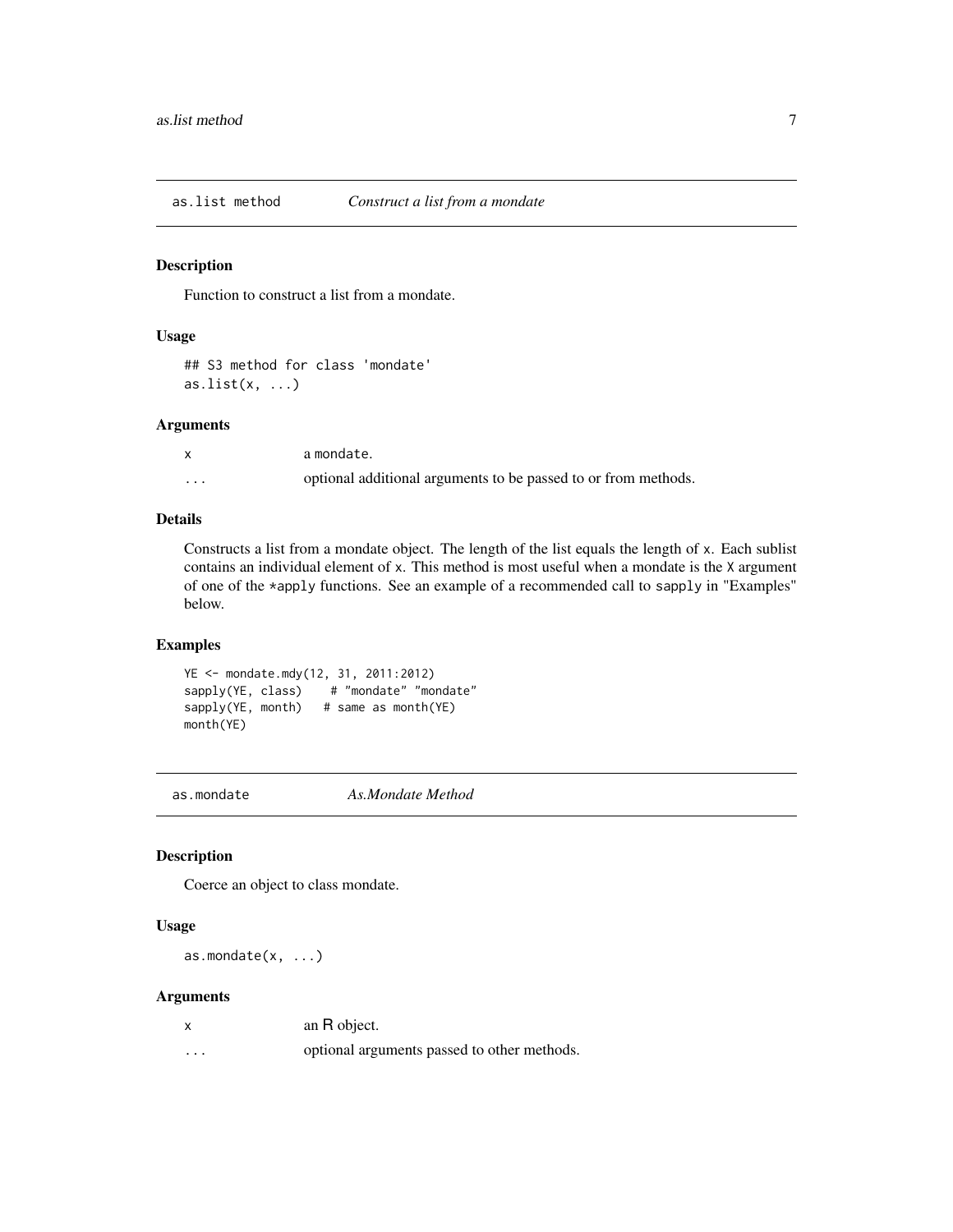<span id="page-6-0"></span>

Function to construct a list from a mondate.

#### Usage

## S3 method for class 'mondate'  $as.list(x, \ldots)$ 

#### Arguments

|          | a mondate.                                                     |
|----------|----------------------------------------------------------------|
| $\cdots$ | optional additional arguments to be passed to or from methods. |

#### Details

Constructs a list from a mondate object. The length of the list equals the length of x. Each sublist contains an individual element of x. This method is most useful when a mondate is the X argument of one of the \*apply functions. See an example of a recommended call to sapply in "Examples" below.

#### Examples

```
YE <- mondate.mdy(12, 31, 2011:2012)
sapply(YE, class) # "mondate" "mondate"
sapply(YE, month) # same as month(YE)
month(YE)
```
as.mondate *As.Mondate Method*

## Description

Coerce an object to class mondate.

## Usage

as.mondate $(x, \ldots)$ 

#### Arguments

| an R object. |  |
|--------------|--|
|--------------|--|

... optional arguments passed to other methods.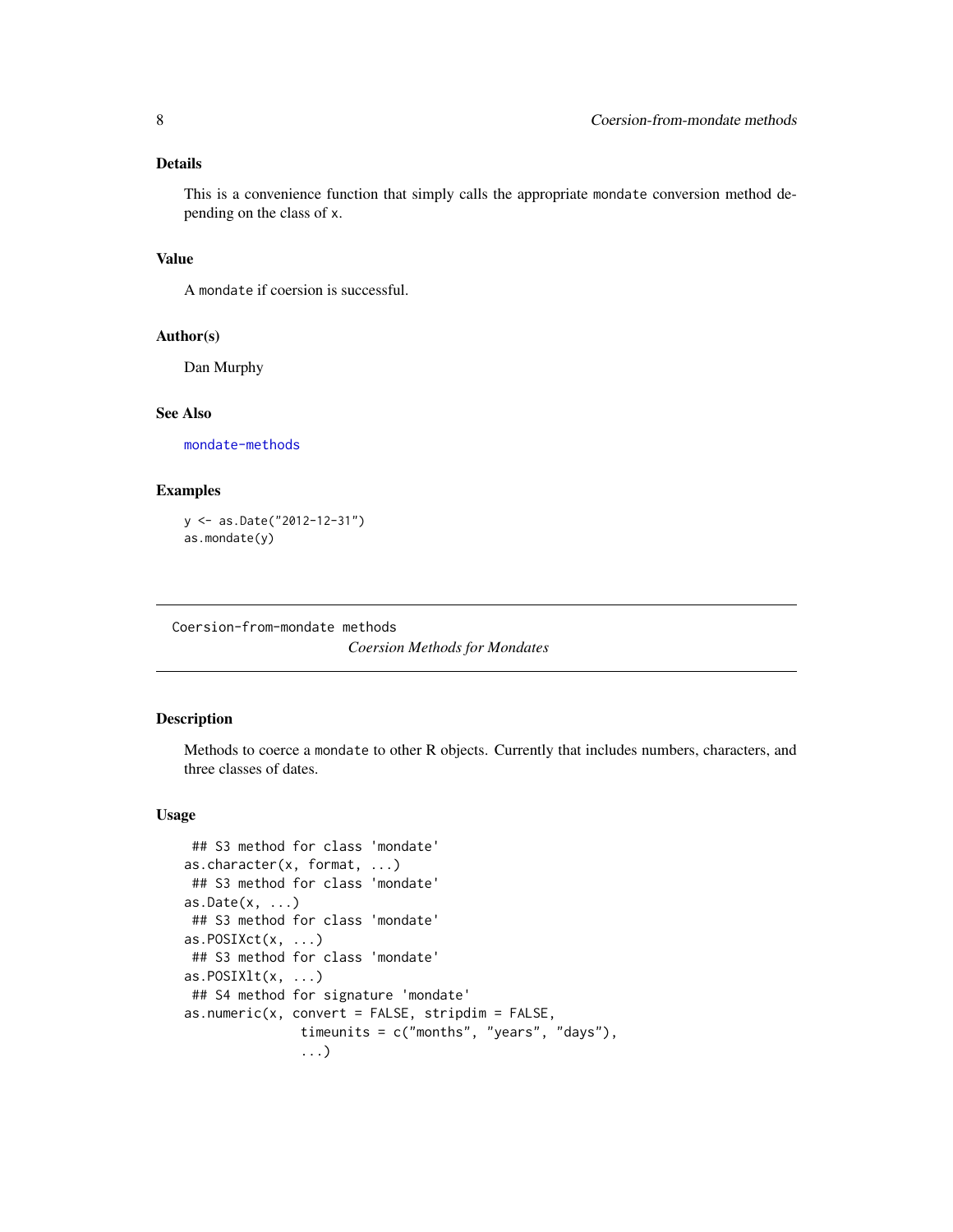## <span id="page-7-0"></span>Details

This is a convenience function that simply calls the appropriate mondate conversion method depending on the class of x.

## Value

A mondate if coersion is successful.

#### Author(s)

Dan Murphy

#### See Also

[mondate-methods](#page-21-1)

## Examples

y <- as.Date("2012-12-31") as.mondate(y)

Coersion-from-mondate methods

*Coersion Methods for Mondates*

## Description

Methods to coerce a mondate to other R objects. Currently that includes numbers, characters, and three classes of dates.

#### Usage

```
## S3 method for class 'mondate'
as.character(x, format, ...)
## S3 method for class 'mondate'
as. Date(x, ...)## S3 method for class 'mondate'
as.POSIXct(x, ...)## S3 method for class 'mondate'
as.POSIXlt(x, ...)## S4 method for signature 'mondate'
as.numeric(x, convert = FALSE, stripdim = FALSE,timeunits = c("months", "years", "days"),
               ...)
```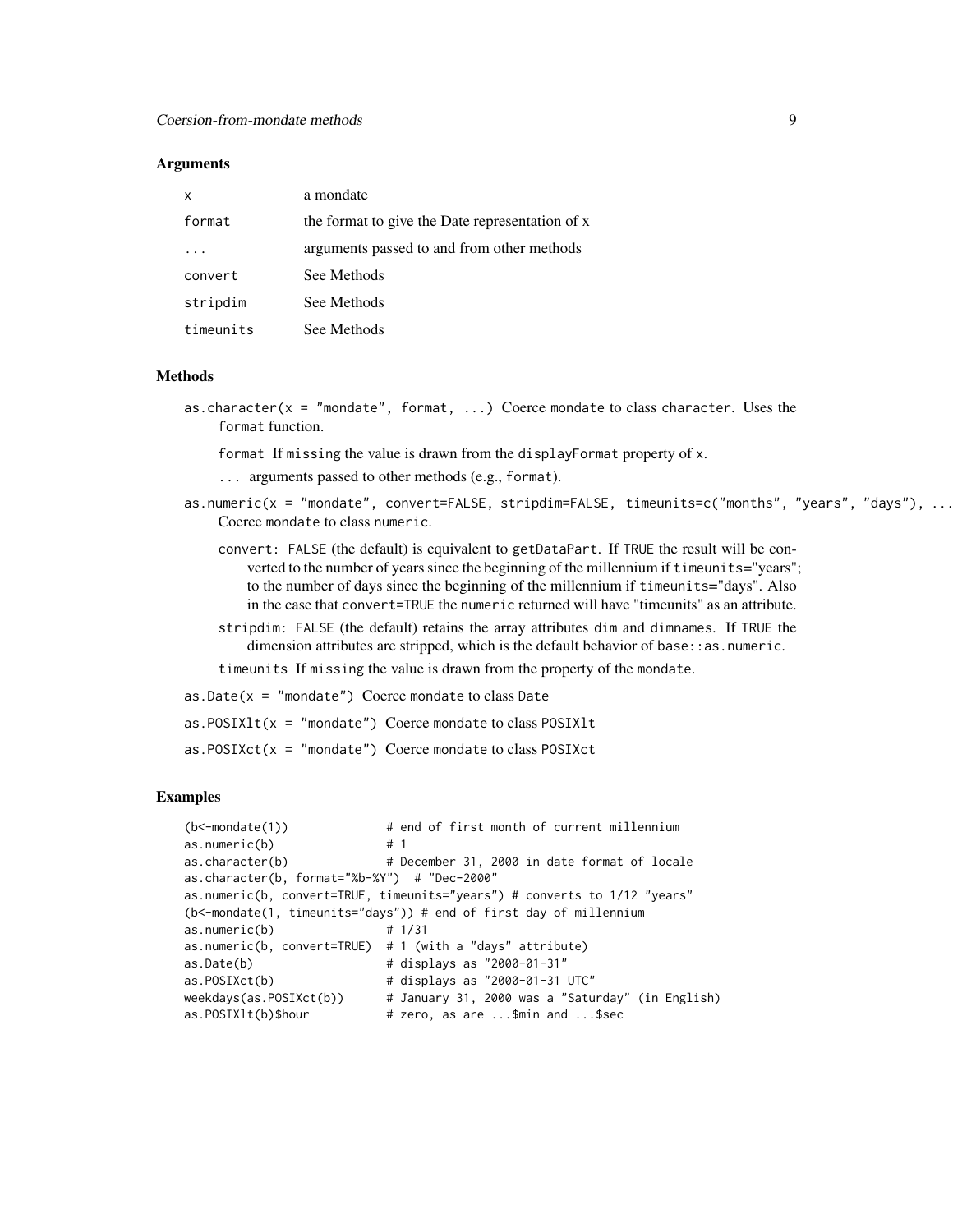#### **Arguments**

| x         | a mondate                                       |
|-----------|-------------------------------------------------|
| format    | the format to give the Date representation of x |
|           | arguments passed to and from other methods      |
| convert   | See Methods                                     |
| stripdim  | See Methods                                     |
| timeunits | See Methods                                     |

#### Methods

as.character( $x = '$  mondate", format, ...) Coerce mondate to class character. Uses the format function.

format If missing the value is drawn from the displayFormat property of x.

... arguments passed to other methods (e.g., format).

- as.numeric(x = "mondate", convert=FALSE, stripdim=FALSE, timeunits=c("months", "years", "days"), ...) Coerce mondate to class numeric.
	- convert: FALSE (the default) is equivalent to getDataPart. If TRUE the result will be converted to the number of years since the beginning of the millennium if timeunits="years"; to the number of days since the beginning of the millennium if timeunits="days". Also in the case that convert=TRUE the numeric returned will have "timeunits" as an attribute.
	- stripdim: FALSE (the default) retains the array attributes dim and dimnames. If TRUE the dimension attributes are stripped, which is the default behavior of base: : as.numeric.

timeunits If missing the value is drawn from the property of the mondate.

- $as.Date(x = "mondate")$  Coerce mondate to class Date
- as.POSIXlt(x = "mondate") Coerce mondate to class POSIXlt

 $as.POSIXct(x = "mondate")$  Coerce mondate to class POSIXct

```
(b<-mondate(1)) # end of first month of current millennium
as.numeric(b) # 1
as.character(b) # December 31, 2000 in date format of locale
as.character(b, format="%b-%Y") # "Dec-2000"
as.numeric(b, convert=TRUE, timeunits="years") # converts to 1/12 "years"
(b<-mondate(1, timeunits="days")) # end of first day of millennium
as.numeric(b) # 1/31
as.numeric(b, convert=TRUE) # 1 (with a "days" attribute)
as.Date(b) \qquad # displays as "2000-01-31"
as.POSIXct(b) # displays as "2000-01-31 UTC"
weekdays(as.POSIXct(b)) # January 31, 2000 was a "Saturday" (in English)
as.POSIXIt(b)$hour \# zero, as are ...$min and ...$sec
```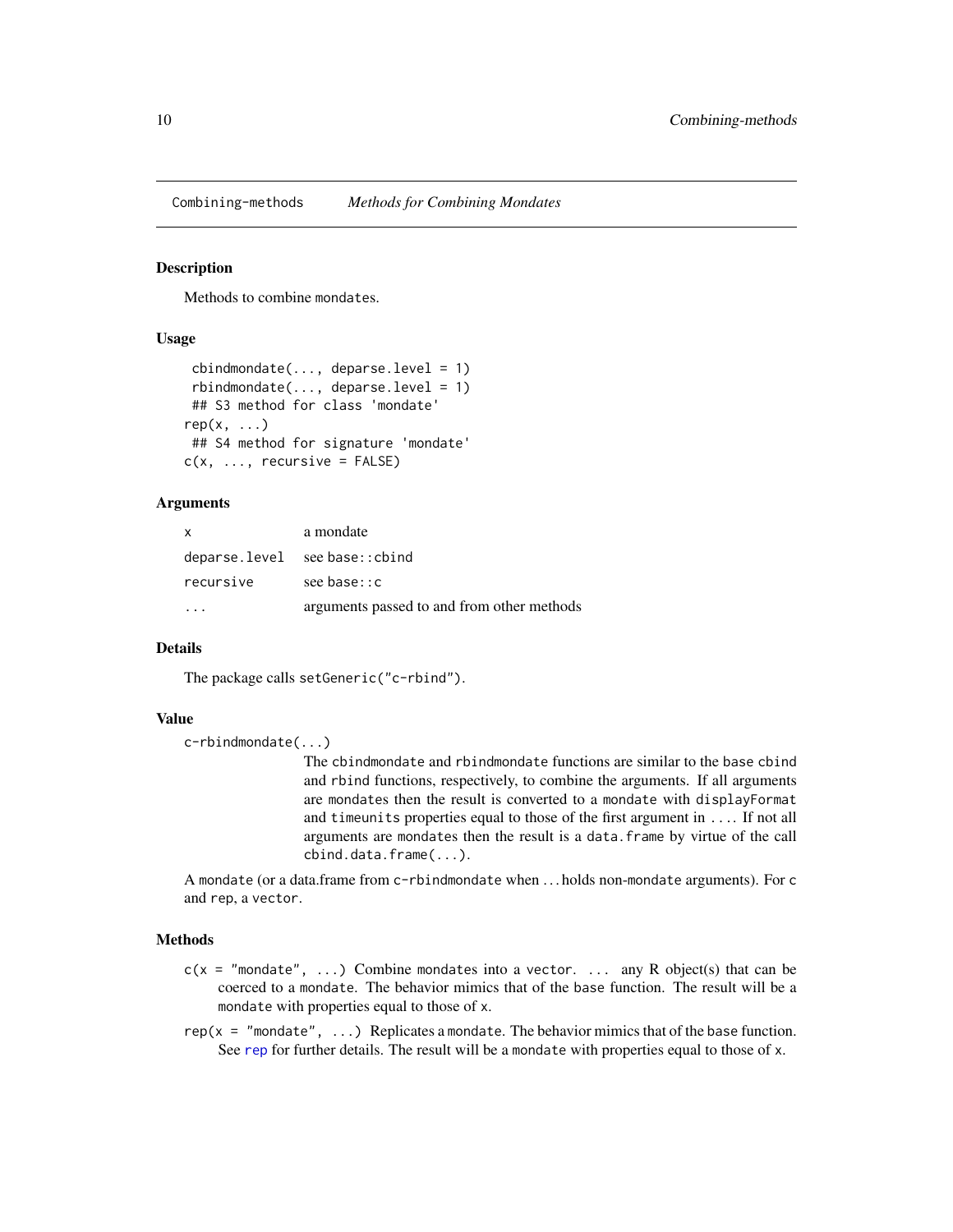<span id="page-9-0"></span>Combining-methods *Methods for Combining Mondates*

#### Description

Methods to combine mondates.

## Usage

```
cbindmondate(..., deparse.level = 1)rbindmondate(..., deparse.level = 1)## S3 method for class 'mondate'
rep(x, \ldots)## S4 method for signature 'mondate'
c(x, \ldots, recursive = FALSE)
```
## **Arguments**

| $\mathsf{x}$ | a mondate                                  |
|--------------|--------------------------------------------|
|              | deparse.level see base::cbind              |
| recursive    | see base: c                                |
|              | arguments passed to and from other methods |

## Details

The package calls setGeneric("c-rbind").

## Value

c-rbindmondate(...)

The cbindmondate and rbindmondate functions are similar to the base cbind and rbind functions, respectively, to combine the arguments. If all arguments are mondates then the result is converted to a mondate with displayFormat and timeunits properties equal to those of the first argument in .... If not all arguments are mondates then the result is a data.frame by virtue of the call cbind.data.frame(...).

A mondate (or a data.frame from c-rbindmondate when . . . holds non-mondate arguments). For c and rep, a vector.

#### Methods

- $c(x = "mondate", ...)$  Combine mondates into a vector. ... any R object(s) that can be coerced to a mondate. The behavior mimics that of the base function. The result will be a mondate with properties equal to those of x.
- rep( $x = "mondate", \ldots$ ) Replicates a mondate. The behavior mimics that of the base function. See [rep](#page-0-0) for further details. The result will be a mondate with properties equal to those of x.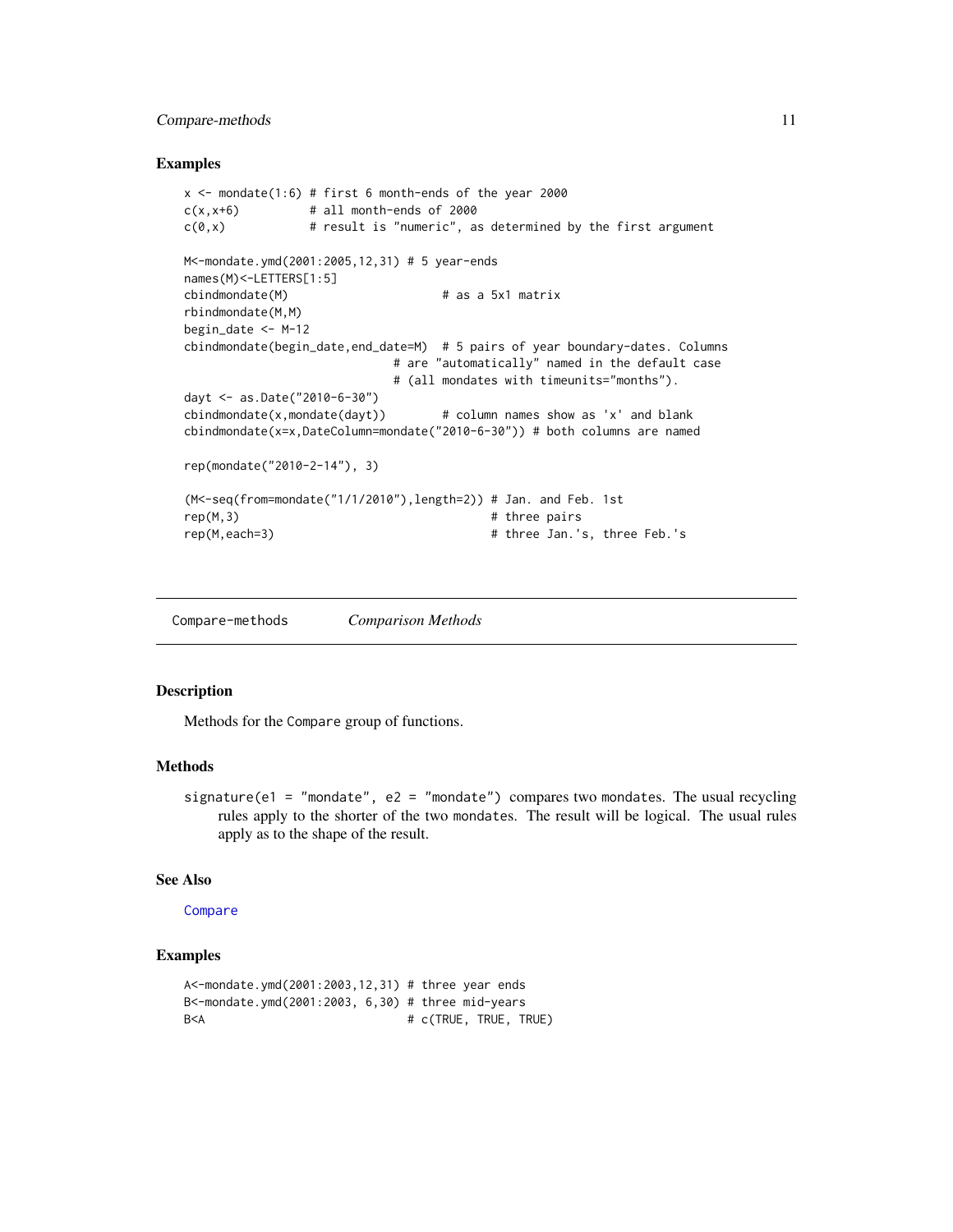## <span id="page-10-0"></span>Compare-methods 11

#### Examples

```
x \le mondate(1:6) # first 6 month-ends of the year 2000
c(x,x+6) # all month-ends of 2000
c(\theta, x) # result is "numeric", as determined by the first argument
M<-mondate.ymd(2001:2005,12,31) # 5 year-ends
names(M)<-LETTERS[1:5]
cbindmondate(M) # as a 5x1 matrix
rbindmondate(M,M)
begin_date <- M-12
cbindmondate(begin_date,end_date=M) # 5 pairs of year boundary-dates. Columns
                          # are "automatically" named in the default case
                          # (all mondates with timeunits="months").
dayt <- as.Date("2010-6-30")
cbindmondate(x,mondate(dayt)) # column names show as 'x' and blank
cbindmondate(x=x,DateColumn=mondate("2010-6-30")) # both columns are named
rep(mondate("2010-2-14"), 3)
(M<-seq(from=mondate("1/1/2010"),length=2)) # Jan. and Feb. 1st
rep(M,3) # three pairsrep(M,each=3) # three Jan.'s, three Feb.'s
```
Compare-methods *Comparison Methods*

## Description

Methods for the Compare group of functions.

## **Methods**

signature(e1 = "mondate", e2 = "mondate") compares two mondates. The usual recycling rules apply to the shorter of the two mondates. The result will be logical. The usual rules apply as to the shape of the result.

#### See Also

**[Compare](#page-0-0)** 

```
A<-mondate.ymd(2001:2003,12,31) # three year ends
B<-mondate.ymd(2001:2003, 6,30) # three mid-years
B<A # c(TRUE, TRUE, TRUE)
```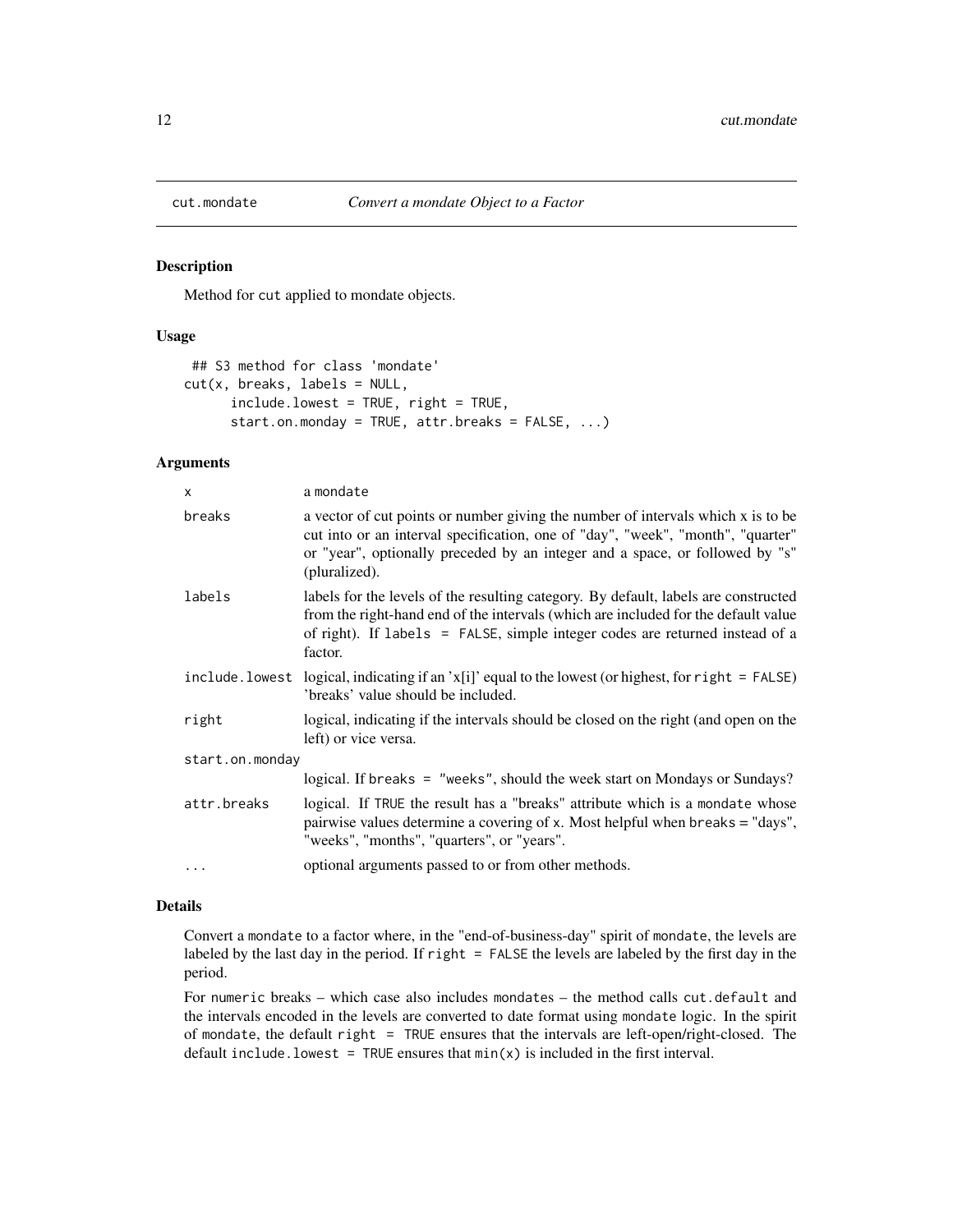<span id="page-11-1"></span><span id="page-11-0"></span>

Method for cut applied to mondate objects.

#### Usage

```
## S3 method for class 'mondate'
cut(x, breaks, labels = NULL,
     include.lowest = TRUE, right = TRUE,
     start.on.monday = TRUE, attr.breaks = FALSE, ...)
```
## Arguments

| $\mathsf{x}$    | a mondate                                                                                                                                                                                                                                                            |  |
|-----------------|----------------------------------------------------------------------------------------------------------------------------------------------------------------------------------------------------------------------------------------------------------------------|--|
| breaks          | a vector of cut points or number giving the number of intervals which x is to be<br>cut into or an interval specification, one of "day", "week", "month", "quarter"<br>or "year", optionally preceded by an integer and a space, or followed by "s"<br>(pluralized). |  |
| labels          | labels for the levels of the resulting category. By default, labels are constructed<br>from the right-hand end of the intervals (which are included for the default value<br>of right). If labels = FALSE, simple integer codes are returned instead of a<br>factor. |  |
|                 | include. lowest logical, indicating if an $x[i]$ equal to the lowest (or highest, for right = FALSE)<br>'breaks' value should be included.                                                                                                                           |  |
| right           | logical, indicating if the intervals should be closed on the right (and open on the<br>left) or vice versa.                                                                                                                                                          |  |
| start.on.monday |                                                                                                                                                                                                                                                                      |  |
|                 | logical. If breaks = "weeks", should the week start on Mondays or Sundays?                                                                                                                                                                                           |  |
| attr.breaks     | logical. If TRUE the result has a "breaks" attribute which is a mondate whose<br>pairwise values determine a covering of x. Most helpful when breaks = "days",<br>"weeks", "months", "quarters", or "years".                                                         |  |
| .               | optional arguments passed to or from other methods.                                                                                                                                                                                                                  |  |

## Details

Convert a mondate to a factor where, in the "end-of-business-day" spirit of mondate, the levels are labeled by the last day in the period. If right = FALSE the levels are labeled by the first day in the period.

For numeric breaks – which case also includes mondates – the method calls cut.default and the intervals encoded in the levels are converted to date format using mondate logic. In the spirit of mondate, the default right = TRUE ensures that the intervals are left-open/right-closed. The default include. lowest = TRUE ensures that  $min(x)$  is included in the first interval.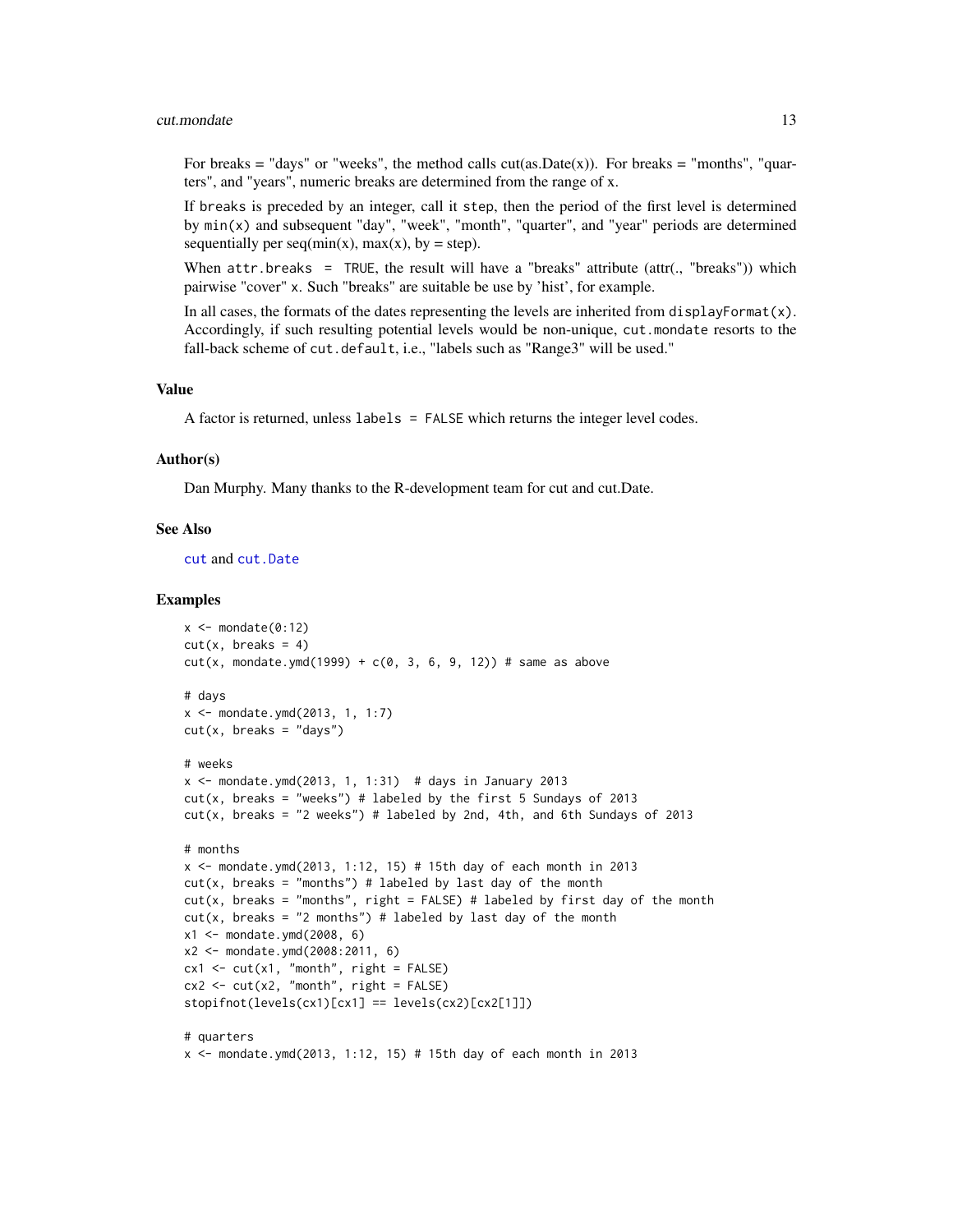#### <span id="page-12-0"></span>cut.mondate 13

For breaks = "days" or "weeks", the method calls  $cut(as.Date(x))$ . For breaks = "months", "quarters", and "years", numeric breaks are determined from the range of x.

If breaks is preceded by an integer, call it step, then the period of the first level is determined by  $min(x)$  and subsequent "day", "week", "month", "quarter", and "year" periods are determined sequentially per  $seq(min(x), max(x), by = step)$ .

When  $attr.breaks = TRUE$ , the result will have a "breaks" attribute (attr(., "breaks")) which pairwise "cover" x. Such "breaks" are suitable be use by 'hist', for example.

In all cases, the formats of the dates representing the levels are inherited from displayFormat $(x)$ . Accordingly, if such resulting potential levels would be non-unique, cut.mondate resorts to the fall-back scheme of cut.default, i.e., "labels such as "Range3" will be used."

#### Value

A factor is returned, unless labels = FALSE which returns the integer level codes.

#### Author(s)

Dan Murphy. Many thanks to the R-development team for cut and cut.Date.

#### See Also

[cut](#page-11-1) and [cut.Date](#page-0-0)

```
x \le - mondate(0:12)
cut(x, breaks = 4)cut(x, \text{ mondate.ymd}(1999) + c(0, 3, 6, 9, 12)) # same as above
# days
x <- mondate.ymd(2013, 1, 1:7)
cut(x, breaks = "days")# weeks
x \le mondate.ymd(2013, 1, 1:31) # days in January 2013
cut(x, \text{ breaks} = "weeks") # labeled by the first 5 Sundays of 2013
cut(x, \text{ breaks} = "2 \text{ weeks"}) # labeled by 2nd, 4th, and 6th Sundays of 2013
# months
x <- mondate.ymd(2013, 1:12, 15) # 15th day of each month in 2013
cut(x, breaks = "months") # labeled by last day of the month
cut(x, \text{ breaks} = "months", \text{ right} = FALSE) # labeled by first day of the monthcut(x, breaks = "2 months") # labeled by last day of the month
x1 \le - mondate.ymd(2008, 6)
x2 <- mondate.ymd(2008:2011, 6)
cx1 \leftarrow cut(x1, "month", right = FALSE)cx2 \leq -\text{cut}(x2, \text{ "month", right = FALSE)}stopifnot(levels(cx1)[cx1] == levels(cx2)[cx2[1]])
# quarters
x <- mondate.ymd(2013, 1:12, 15) # 15th day of each month in 2013
```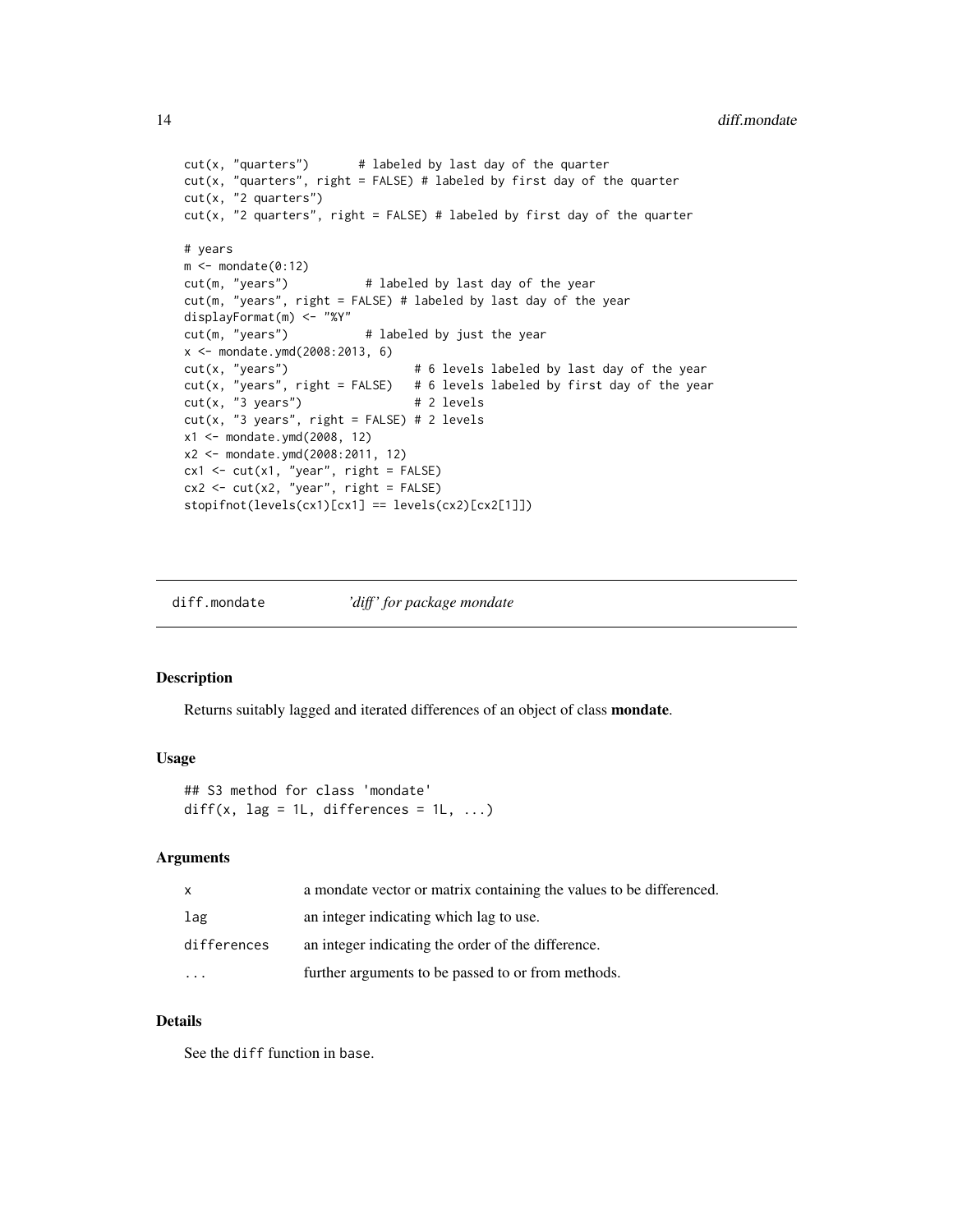```
cut(x, "quarters") # labeled by last day of the quarter
cut(x, "quarters", right = FALSE) # labeled by first day of the quartercut(x, "2 quarters")
cut(x, "2 quarters", right = FALSE) # labeled by first day of the quarter# years
m <- mondate(0:12)
cut(m, "years") # labeled by last day of the year
cut(m, "years", right = FALSE) # labeled by last day of the year
displayFormat(m) <- "%Y"<br>cut(m, "years")
                 \# labeled by just the year
x <- mondate.ymd(2008:2013, 6)
cut(x, "years") # 6 levels labeled by last day of the year
cut(x, "years", right = FALSE) # 6 levels labeled by first day of the year
cut(x, "3 years") # 2 levels
cut(x, "3 years", right = FALSE) # 2 levels
x1 <- mondate.ymd(2008, 12)
x2 <- mondate.ymd(2008:2011, 12)
cx1 \leftarrow cut(x1, "year", right = FALSE)cx2 \leq -\text{cut}(x2, "year", right = FALSE)stopifnot(levels(cx1)[cx1] == levels(cx2)[cx2[1]])
```
diff.mondate *'diff ' for package mondate*

#### Description

Returns suitably lagged and iterated differences of an object of class mondate.

#### Usage

```
## S3 method for class 'mondate'
diff(x, lag = 1L, differences = 1L, \dots)
```
#### Arguments

| X                       | a mondate vector or matrix containing the values to be differenced. |
|-------------------------|---------------------------------------------------------------------|
| lag                     | an integer indicating which lag to use.                             |
| differences             | an integer indicating the order of the difference.                  |
| $\cdot$ $\cdot$ $\cdot$ | further arguments to be passed to or from methods.                  |

## Details

See the diff function in base.

<span id="page-13-0"></span>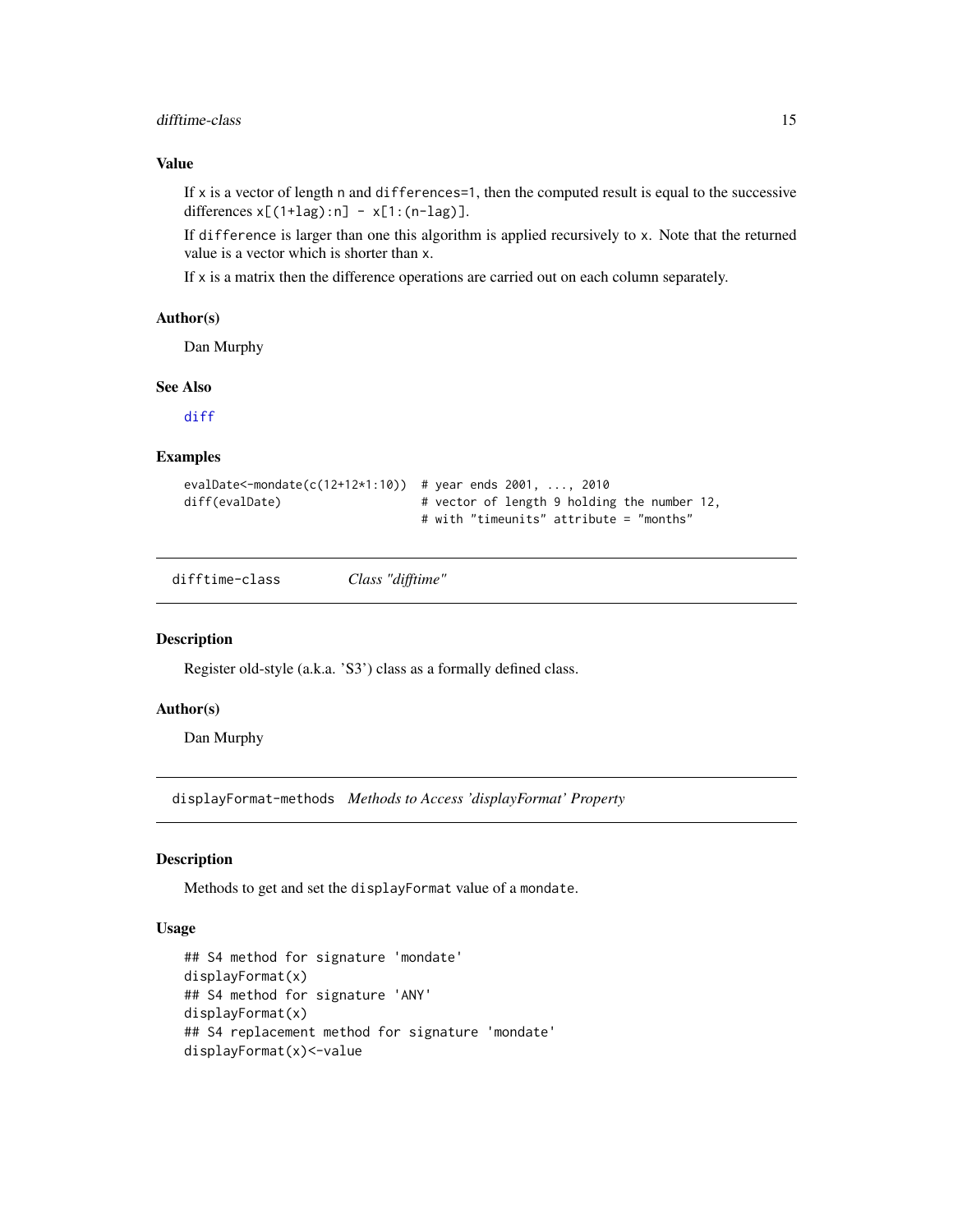## <span id="page-14-0"></span>difftime-class 15

## Value

If  $x$  is a vector of length n and differences = 1, then the computed result is equal to the successive differences  $x[(1+lag):n] - x[1:(n-lag)].$ 

If difference is larger than one this algorithm is applied recursively to x. Note that the returned value is a vector which is shorter than x.

If  $x$  is a matrix then the difference operations are carried out on each column separately.

#### Author(s)

Dan Murphy

#### See Also

[diff](#page-0-0)

#### Examples

```
evalDate<-mondate(c(12+12*1:10)) # year ends 2001, ..., 2010
diff(evalDate) # vector of length 9 holding the number 12,
                              # with "timeunits" attribute = "months"
```
difftime-class *Class "difftime"*

#### Description

Register old-style (a.k.a. 'S3') class as a formally defined class.

## Author(s)

Dan Murphy

displayFormat-methods *Methods to Access 'displayFormat' Property*

#### Description

Methods to get and set the displayFormat value of a mondate.

## Usage

```
## S4 method for signature 'mondate'
displayFormat(x)
## S4 method for signature 'ANY'
displayFormat(x)
## S4 replacement method for signature 'mondate'
displayFormat(x)<-value
```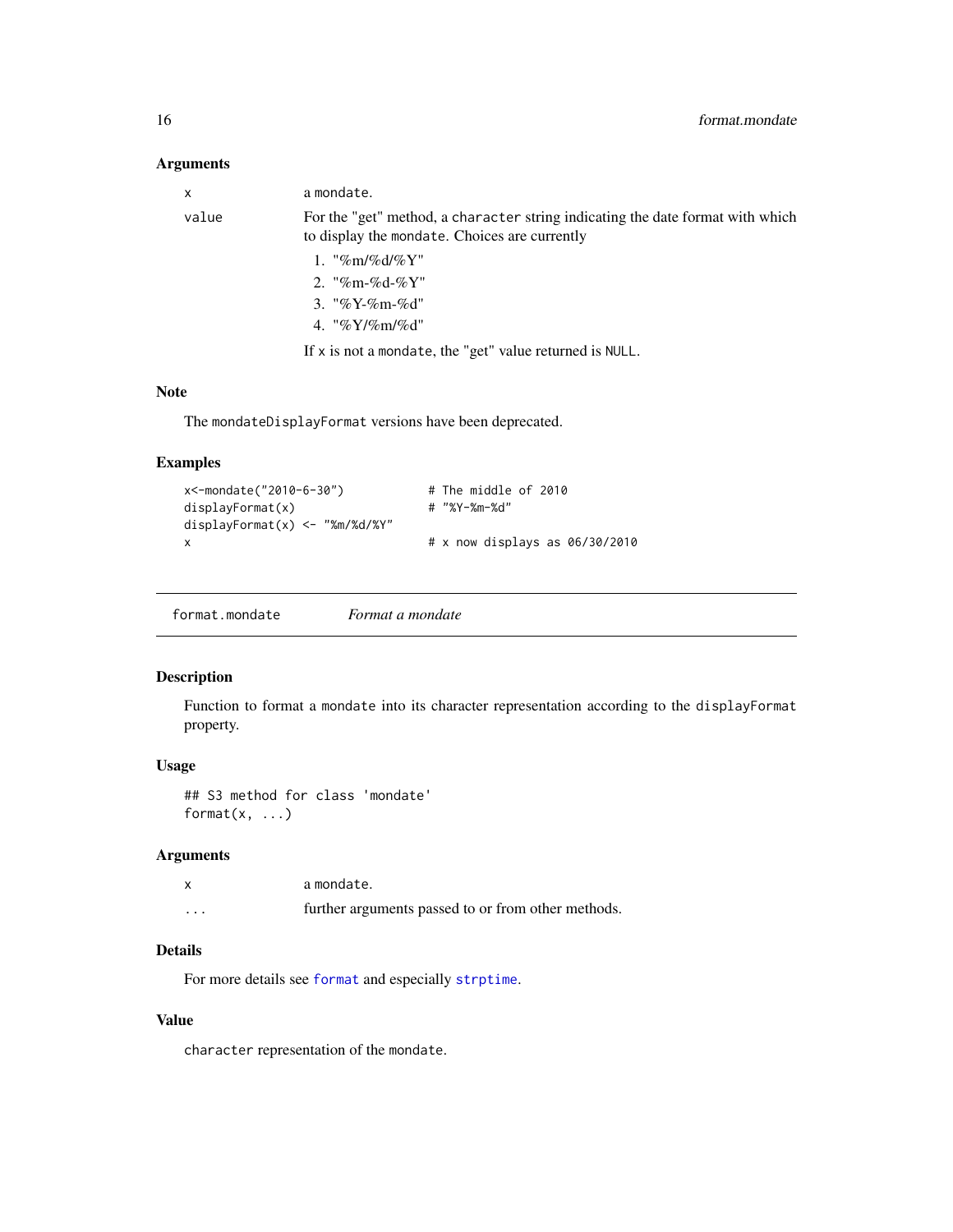## <span id="page-15-0"></span>Arguments

| X     | a mondate.                                                                                                                      |
|-------|---------------------------------------------------------------------------------------------------------------------------------|
| value | For the "get" method, a character string indicating the date format with which<br>to display the mondate. Choices are currently |
|       | 1. "%m/%d/%Y"                                                                                                                   |
|       | 2. "%m-%d-%Y"                                                                                                                   |
|       | 3. "%Y-%m-%d"                                                                                                                   |
|       | 4. "% $Y/\%$ m/%d"                                                                                                              |
|       | If $x$ is not a mondate, the "get" value returned is NULL.                                                                      |

## Note

The mondateDisplayFormat versions have been deprecated.

## Examples

| x<-mondate("2010-6-30")           | # The middle of 2010             |
|-----------------------------------|----------------------------------|
| displayFormat(x)                  | # "%Y-%m-%d"                     |
| $displayFormat(x) < -$ "%m/%d/%Y" |                                  |
| X                                 | $# x$ now displays as 06/30/2010 |

```
format.mondate Format a mondate
```
## Description

Function to format a mondate into its character representation according to the displayFormat property.

## Usage

```
## S3 method for class 'mondate'
format(x, \ldots)
```
## Arguments

|          | a mondate.                                         |
|----------|----------------------------------------------------|
| $\cdots$ | further arguments passed to or from other methods. |

## Details

For more details see [format](#page-0-0) and especially [strptime](#page-0-0).

## Value

character representation of the mondate.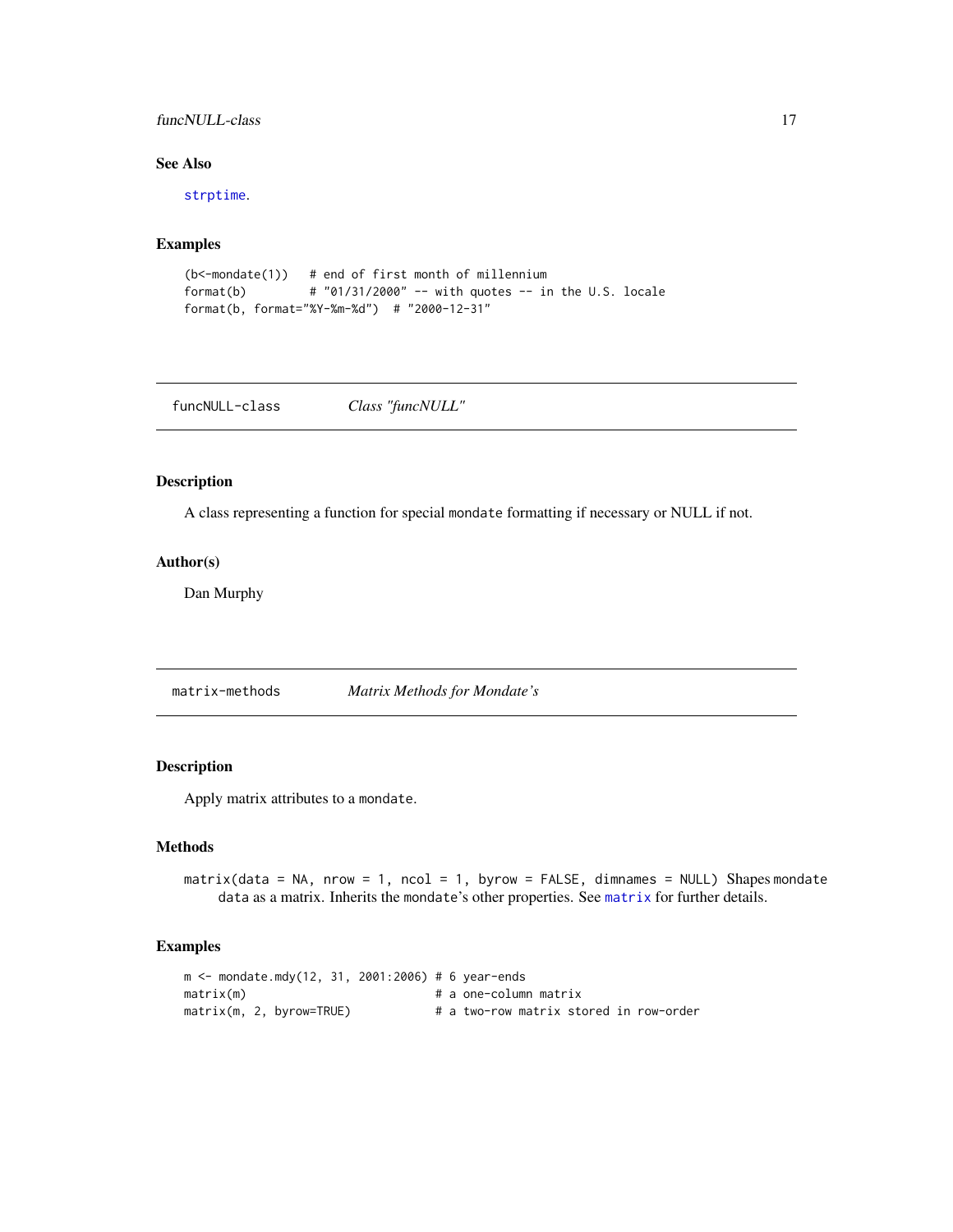## <span id="page-16-0"></span>funcNULL-class 17

## See Also

[strptime](#page-0-0).

## Examples

```
(b<-mondate(1)) # end of first month of millennium
format(b) \# "01/31/2000" -- with quotes -- in the U.S. locale
format(b, format="%Y-%m-%d") # "2000-12-31"
```
funcNULL-class *Class "funcNULL"*

## Description

A class representing a function for special mondate formatting if necessary or NULL if not.

#### Author(s)

Dan Murphy

matrix-methods *Matrix Methods for Mondate's*

## <span id="page-16-1"></span>Description

Apply matrix attributes to a mondate.

## Methods

matrix(data = NA, nrow = 1, ncol = 1, byrow = FALSE, dimnames = NULL) Shapes mondate data as a matrix. Inherits the mondate's other properties. See [matrix](#page-16-1) for further details.

```
m <- mondate.mdy(12, 31, 2001:2006) # 6 year-ends
matrix(m) # a one-column matrixmatrix(m, 2, byrow=TRUE) # a two-row matrix stored in row-order
```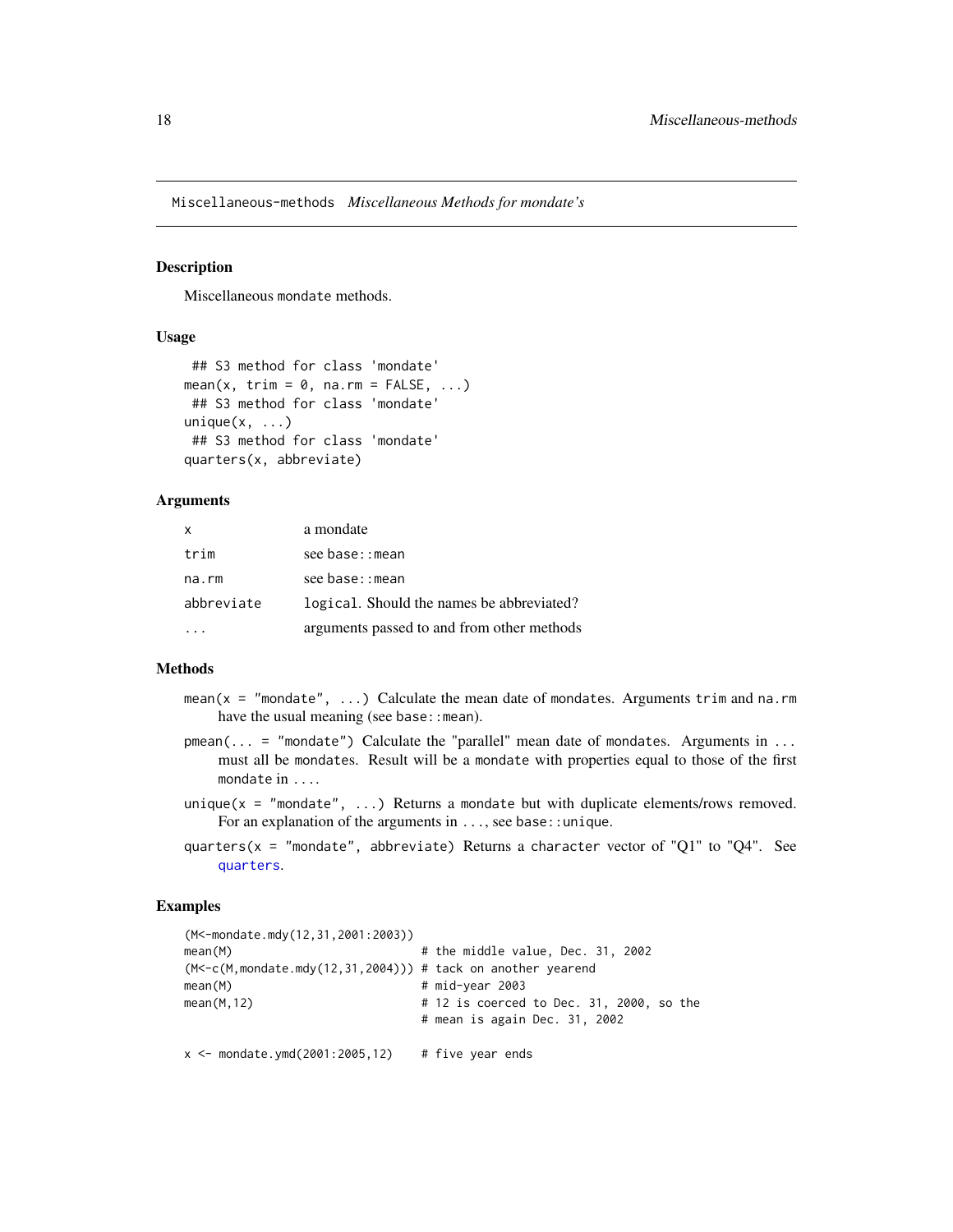<span id="page-17-0"></span>Miscellaneous-methods *Miscellaneous Methods for mondate's*

#### Description

Miscellaneous mondate methods.

#### Usage

```
## S3 method for class 'mondate'
mean(x, trim = 0, na.rm = FALSE, ...)
## S3 method for class 'mondate'
unique(x, \ldots)## S3 method for class 'mondate'
quarters(x, abbreviate)
```
#### Arguments

| $\mathsf{x}$ | a mondate                                  |
|--------------|--------------------------------------------|
| trim         | see base::mean                             |
| na.rm        | see base::mean                             |
| abbreviate   | logical. Should the names be abbreviated?  |
|              | arguments passed to and from other methods |

#### Methods

- mean( $x = "mondate", \ldots)$  Calculate the mean date of mondates. Arguments trim and na.rm have the usual meaning (see base: : mean).
- $pmean(... = "mondate")$  Calculate the "parallel" mean date of mondates. Arguments in ... must all be mondates. Result will be a mondate with properties equal to those of the first mondate in ....
- unique( $x =$  "mondate", ...) Returns a mondate but with duplicate elements/rows removed. For an explanation of the arguments in ..., see base: : unique.
- quarters( $x =$  "mondate", abbreviate) Returns a character vector of "Q1" to "Q4". See [quarters](#page-0-0).

```
(M<-mondate.mdy(12,31,2001:2003))
mean(M) # the middle value, Dec. 31, 2002
(M<-c(M,mondate.mdy(12,31,2004))) # tack on another yearend
mean(M) # mid-year 2003
mean(M, 12) # 12 is coerced to Dec. 31, 2000, so the
                           # mean is again Dec. 31, 2002
x \le mondate.ymd(2001:2005,12) # five year ends
```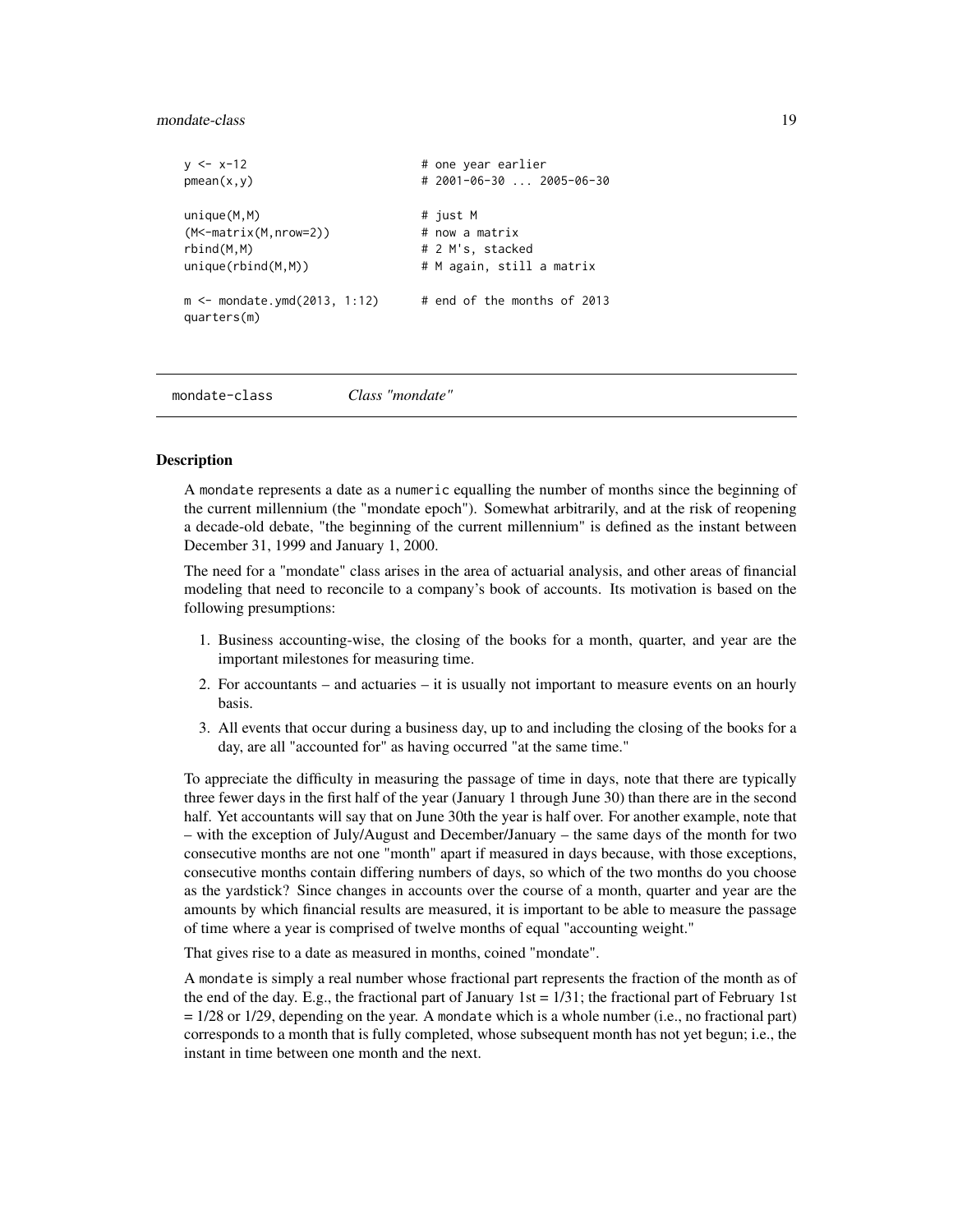#### <span id="page-18-0"></span>mondate-class 19

```
y \le -x-12 # one year earlier
pmean(x,y) # 2001-06-30 ... 2005-06-30unique(M,M) # just M
(M<-matrix(M,nrow=2)) # now a matrix
rbind(M,M) # 2 M's, stackedunique(rbind(M,M)) \qquad # M again, still a matrix
m < - mondate.ymd(2013, 1:12) # end of the months of 2013
quarters(m)
```
mondate-class *Class "mondate"*

#### Description

A mondate represents a date as a numeric equalling the number of months since the beginning of the current millennium (the "mondate epoch"). Somewhat arbitrarily, and at the risk of reopening a decade-old debate, "the beginning of the current millennium" is defined as the instant between December 31, 1999 and January 1, 2000.

The need for a "mondate" class arises in the area of actuarial analysis, and other areas of financial modeling that need to reconcile to a company's book of accounts. Its motivation is based on the following presumptions:

- 1. Business accounting-wise, the closing of the books for a month, quarter, and year are the important milestones for measuring time.
- 2. For accountants and actuaries it is usually not important to measure events on an hourly basis.
- 3. All events that occur during a business day, up to and including the closing of the books for a day, are all "accounted for" as having occurred "at the same time."

To appreciate the difficulty in measuring the passage of time in days, note that there are typically three fewer days in the first half of the year (January 1 through June 30) than there are in the second half. Yet accountants will say that on June 30th the year is half over. For another example, note that – with the exception of July/August and December/January – the same days of the month for two consecutive months are not one "month" apart if measured in days because, with those exceptions, consecutive months contain differing numbers of days, so which of the two months do you choose as the yardstick? Since changes in accounts over the course of a month, quarter and year are the amounts by which financial results are measured, it is important to be able to measure the passage of time where a year is comprised of twelve months of equal "accounting weight."

That gives rise to a date as measured in months, coined "mondate".

A mondate is simply a real number whose fractional part represents the fraction of the month as of the end of the day. E.g., the fractional part of January 1st  $= 1/31$ ; the fractional part of February 1st = 1/28 or 1/29, depending on the year. A mondate which is a whole number (i.e., no fractional part) corresponds to a month that is fully completed, whose subsequent month has not yet begun; i.e., the instant in time between one month and the next.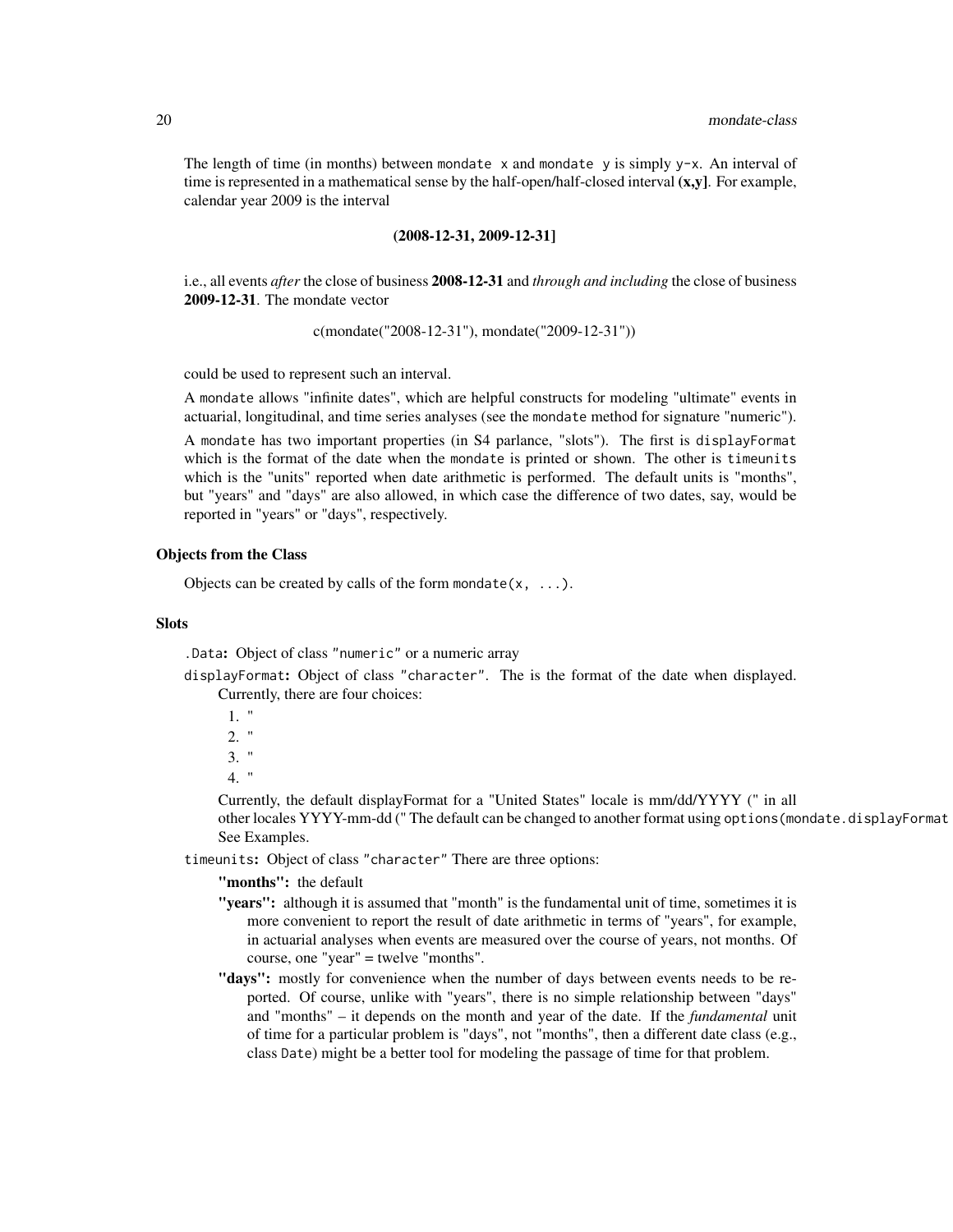The length of time (in months) between mondate  $x$  and mondate y is simply  $y-x$ . An interval of time is represented in a mathematical sense by the half-open/half-closed interval  $(x,y)$ . For example, calendar year 2009 is the interval

#### (2008-12-31, 2009-12-31]

i.e., all events *after* the close of business 2008-12-31 and *through and including* the close of business 2009-12-31. The mondate vector

c(mondate("2008-12-31"), mondate("2009-12-31"))

could be used to represent such an interval.

A mondate allows "infinite dates", which are helpful constructs for modeling "ultimate" events in actuarial, longitudinal, and time series analyses (see the mondate method for signature "numeric").

A mondate has two important properties (in S4 parlance, "slots"). The first is displayFormat which is the format of the date when the mondate is printed or shown. The other is timeunits which is the "units" reported when date arithmetic is performed. The default units is "months", but "years" and "days" are also allowed, in which case the difference of two dates, say, would be reported in "years" or "days", respectively.

#### Objects from the Class

Objects can be created by calls of the form mondate $(x, \ldots)$ .

#### **Slots**

.Data: Object of class "numeric" or a numeric array

displayFormat: Object of class "character". The is the format of the date when displayed. Currently, there are four choices:

```
1. "
2. "
3. "
4. "
```
Currently, the default displayFormat for a "United States" locale is mm/dd/YYYY (" in all other locales YYYY-mm-dd (" The default can be changed to another format using options (mondate.displayFormat See Examples.

timeunits: Object of class "character" There are three options:

"months": the default

- "years": although it is assumed that "month" is the fundamental unit of time, sometimes it is more convenient to report the result of date arithmetic in terms of "years", for example, in actuarial analyses when events are measured over the course of years, not months. Of course, one "year" = twelve "months".
- "days": mostly for convenience when the number of days between events needs to be reported. Of course, unlike with "years", there is no simple relationship between "days" and "months" – it depends on the month and year of the date. If the *fundamental* unit of time for a particular problem is "days", not "months", then a different date class (e.g., class Date) might be a better tool for modeling the passage of time for that problem.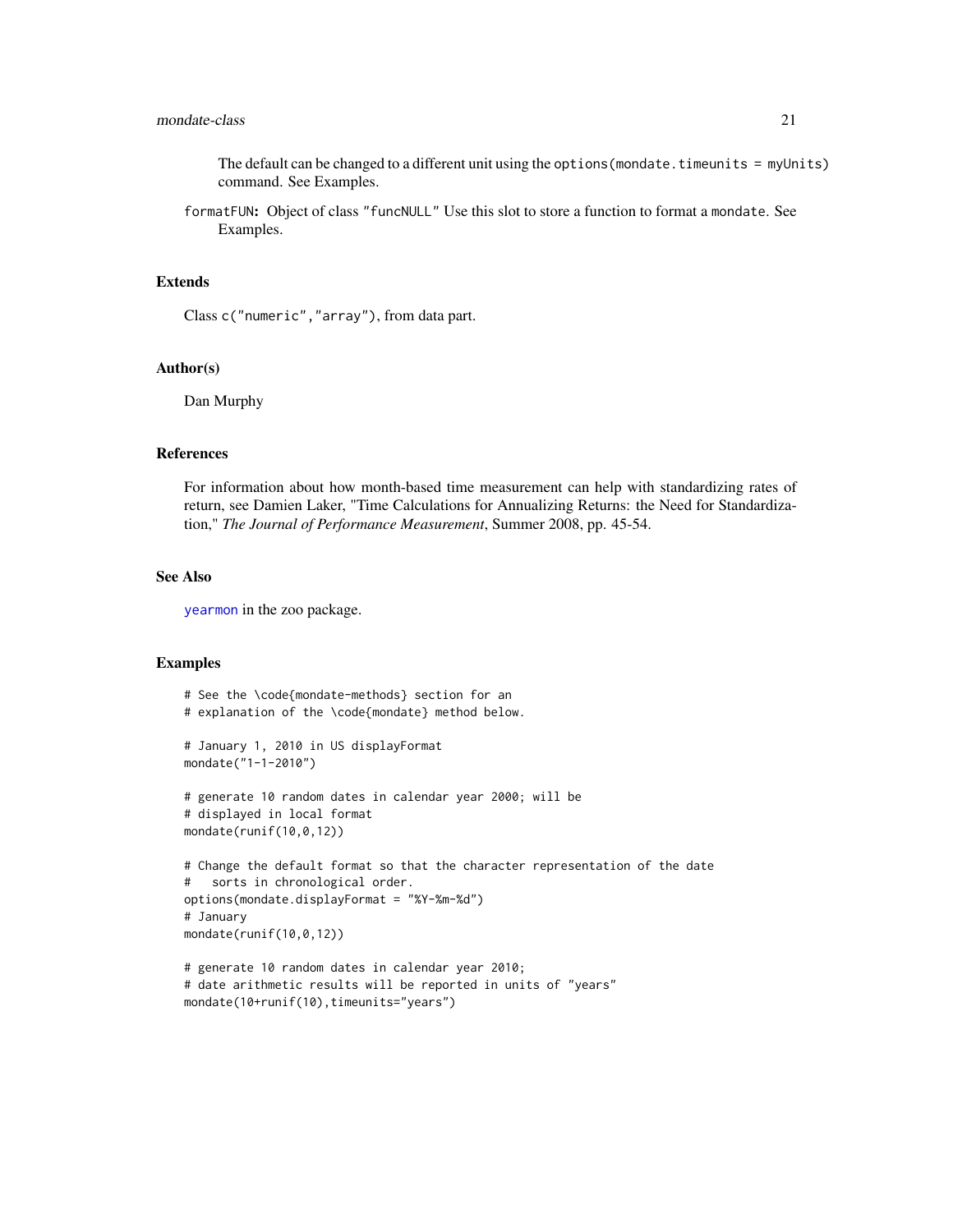## <span id="page-20-0"></span>mondate-class 21

The default can be changed to a different unit using the options (mondate.timeunits = myUnits) command. See Examples.

formatFUN: Object of class "funcNULL" Use this slot to store a function to format a mondate. See Examples.

## Extends

Class c("numeric","array"), from data part.

#### Author(s)

Dan Murphy

## References

For information about how month-based time measurement can help with standardizing rates of return, see Damien Laker, "Time Calculations for Annualizing Returns: the Need for Standardization," *The Journal of Performance Measurement*, Summer 2008, pp. 45-54.

#### See Also

[yearmon](#page-0-0) in the zoo package.

mondate(10+runif(10),timeunits="years")

```
# See the \code{mondate-methods} section for an
# explanation of the \code{mondate} method below.
# January 1, 2010 in US displayFormat
mondate("1-1-2010")
# generate 10 random dates in calendar year 2000; will be
# displayed in local format
mondate(runif(10,0,12))
# Change the default format so that the character representation of the date
# sorts in chronological order.
options(mondate.displayFormat = "%Y-%m-%d")
# January
mondate(runif(10,0,12))
# generate 10 random dates in calendar year 2010;
# date arithmetic results will be reported in units of "years"
```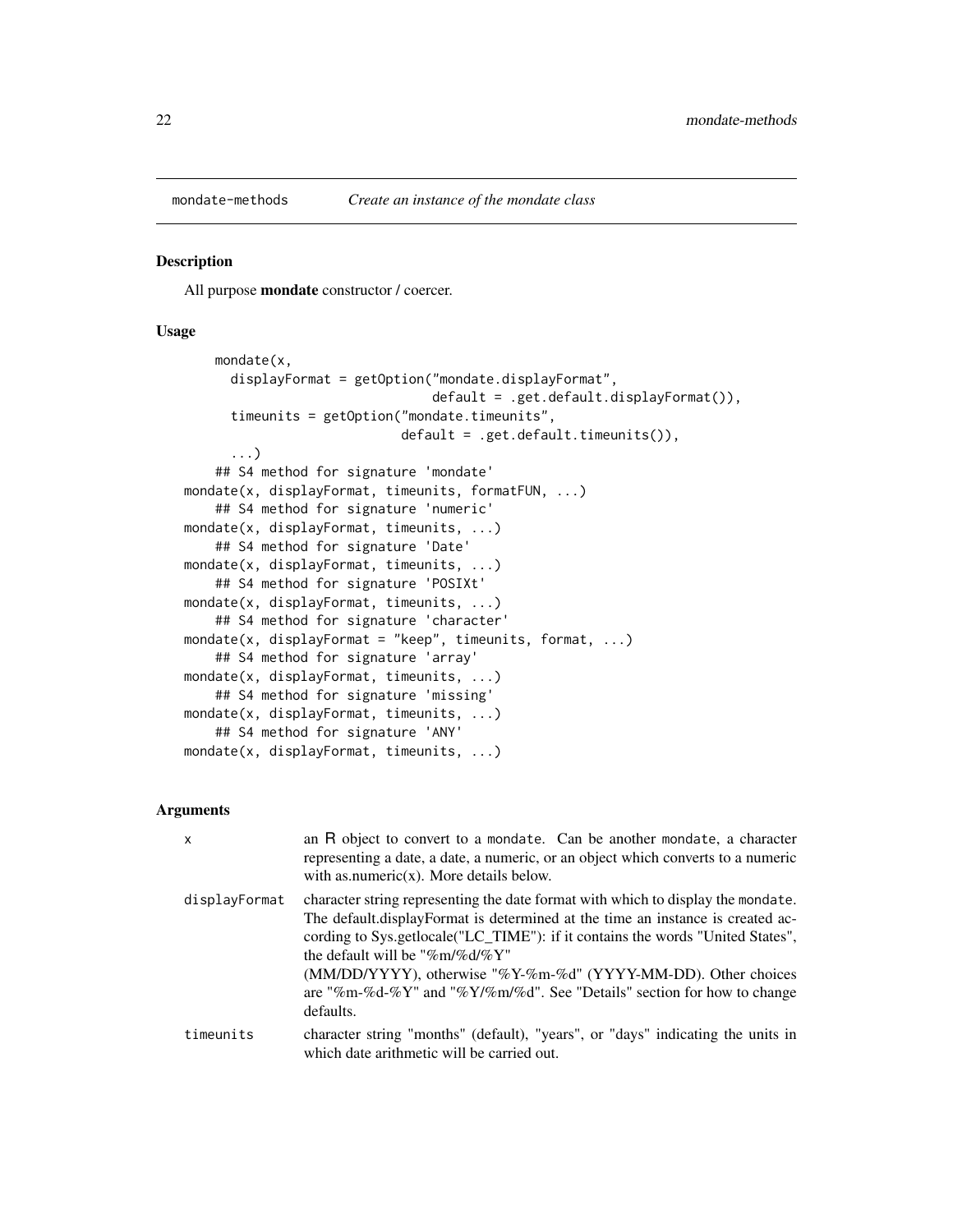<span id="page-21-1"></span><span id="page-21-0"></span>

All purpose mondate constructor / coercer.

#### Usage

```
mondate(x,
     displayFormat = getOption("mondate.displayFormat",
                                default = .get.default.displayFormat()),
     timeunits = getOption("mondate.timeunits",
                            default = .get.default.timeunits()),
      ...)
   ## S4 method for signature 'mondate'
mondate(x, displayFormat, timeunits, formatFUN, ...)
    ## S4 method for signature 'numeric'
mondate(x, displayFormat, timeunits, ...)
   ## S4 method for signature 'Date'
mondate(x, displayFormat, timeunits, ...)
    ## S4 method for signature 'POSIXt'
mondate(x, displayFormat, timeunits, ...)
   ## S4 method for signature 'character'
mondate(x, displayFormat = "keep", timeunits, format, ...)
    ## S4 method for signature 'array'
mondate(x, displayFormat, timeunits, ...)
   ## S4 method for signature 'missing'
mondate(x, displayFormat, timeunits, ...)
   ## S4 method for signature 'ANY'
mondate(x, displayFormat, timeunits, ...)
```
## Arguments

| $\mathsf{x}$  | an R object to convert to a mondate. Can be another mondate, a character<br>representing a date, a date, a numeric, or an object which converts to a numeric<br>with as numeric $(x)$ . More details below.                                                                                                                                                                                                                                         |
|---------------|-----------------------------------------------------------------------------------------------------------------------------------------------------------------------------------------------------------------------------------------------------------------------------------------------------------------------------------------------------------------------------------------------------------------------------------------------------|
| displayFormat | character string representing the date format with which to display the mondate.<br>The default displayFormat is determined at the time an instance is created ac-<br>cording to Sys.getlocale("LC_TIME"): if it contains the words "United States",<br>the default will be "%m/%d/% $Y$ "<br>(MM/DD/YYYY), otherwise "%Y-%m-%d" (YYYY-MM-DD). Other choices<br>are "%m-%d-%Y" and "%Y/%m/%d". See "Details" section for how to change<br>defaults. |
| timeunits     | character string "months" (default), "years", or "days" indicating the units in<br>which date arithmetic will be carried out.                                                                                                                                                                                                                                                                                                                       |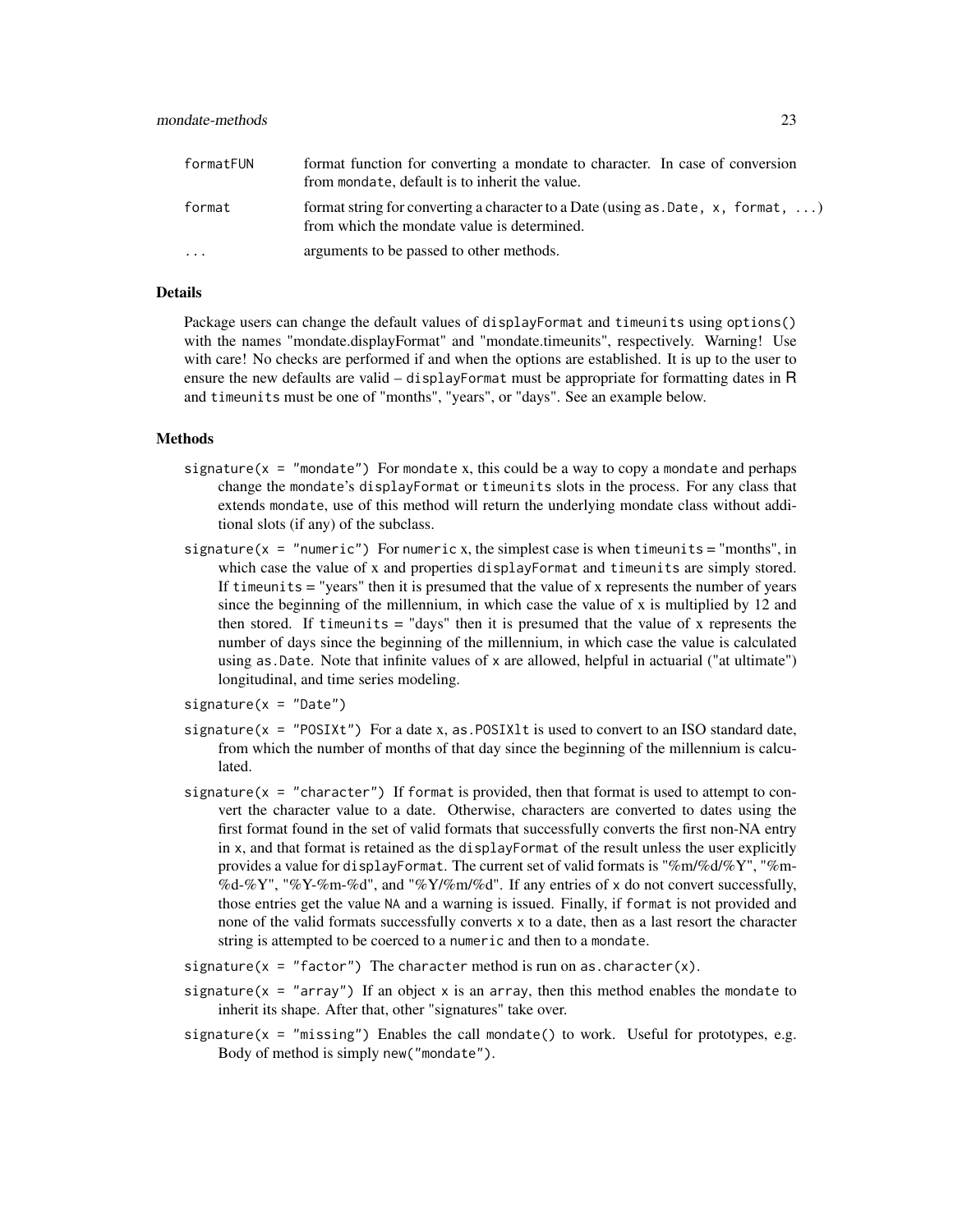| formatFUN               | format function for converting a mondate to character. In case of conversion<br>from mondate, default is to inherit the value.    |
|-------------------------|-----------------------------------------------------------------------------------------------------------------------------------|
| format                  | format string for converting a character to a Date (using as $Date$ , x, format, )<br>from which the mondate value is determined. |
| $\cdot$ $\cdot$ $\cdot$ | arguments to be passed to other methods.                                                                                          |

## Details

Package users can change the default values of displayFormat and timeunits using options() with the names "mondate.displayFormat" and "mondate.timeunits", respectively. Warning! Use with care! No checks are performed if and when the options are established. It is up to the user to ensure the new defaults are valid – displayFormat must be appropriate for formatting dates in R and timeunits must be one of "months", "years", or "days". See an example below.

#### Methods

- signature( $x = "mondate")$  For mondate x, this could be a way to copy a mondate and perhaps change the mondate's displayFormat or timeunits slots in the process. For any class that extends mondate, use of this method will return the underlying mondate class without additional slots (if any) of the subclass.
- signature( $x = "numeric")$  For numeric x, the simplest case is when timeunits = "months", in which case the value of x and properties displayFormat and timeunits are simply stored. If timeunits = "years" then it is presumed that the value of x represents the number of years since the beginning of the millennium, in which case the value of x is multiplied by 12 and then stored. If time units  $=$  "days" then it is presumed that the value of x represents the number of days since the beginning of the millennium, in which case the value is calculated using as.Date. Note that infinite values of x are allowed, helpful in actuarial ("at ultimate") longitudinal, and time series modeling.
- $signature(x = "Date")$
- signature( $x = "POSTxt")$  For a date  $x$ , as POSIX1t is used to convert to an ISO standard date, from which the number of months of that day since the beginning of the millennium is calculated.
- signature( $x =$  "character") If format is provided, then that format is used to attempt to convert the character value to a date. Otherwise, characters are converted to dates using the first format found in the set of valid formats that successfully converts the first non-NA entry in x, and that format is retained as the displayFormat of the result unless the user explicitly provides a value for displayFormat. The current set of valid formats is "%m/%d/%Y", "%m- %d-%Y", "%Y-%m-%d", and "%Y/%m/%d". If any entries of x do not convert successfully, those entries get the value NA and a warning is issued. Finally, if format is not provided and none of the valid formats successfully converts x to a date, then as a last resort the character string is attempted to be coerced to a numeric and then to a mondate.
- signature( $x = "factor")$  The character method is run on as. character(x).
- signature( $x = "array"$ ) If an object x is an array, then this method enables the mondate to inherit its shape. After that, other "signatures" take over.
- signature( $x = "missing"$ ) Enables the call mondate() to work. Useful for prototypes, e.g. Body of method is simply new("mondate").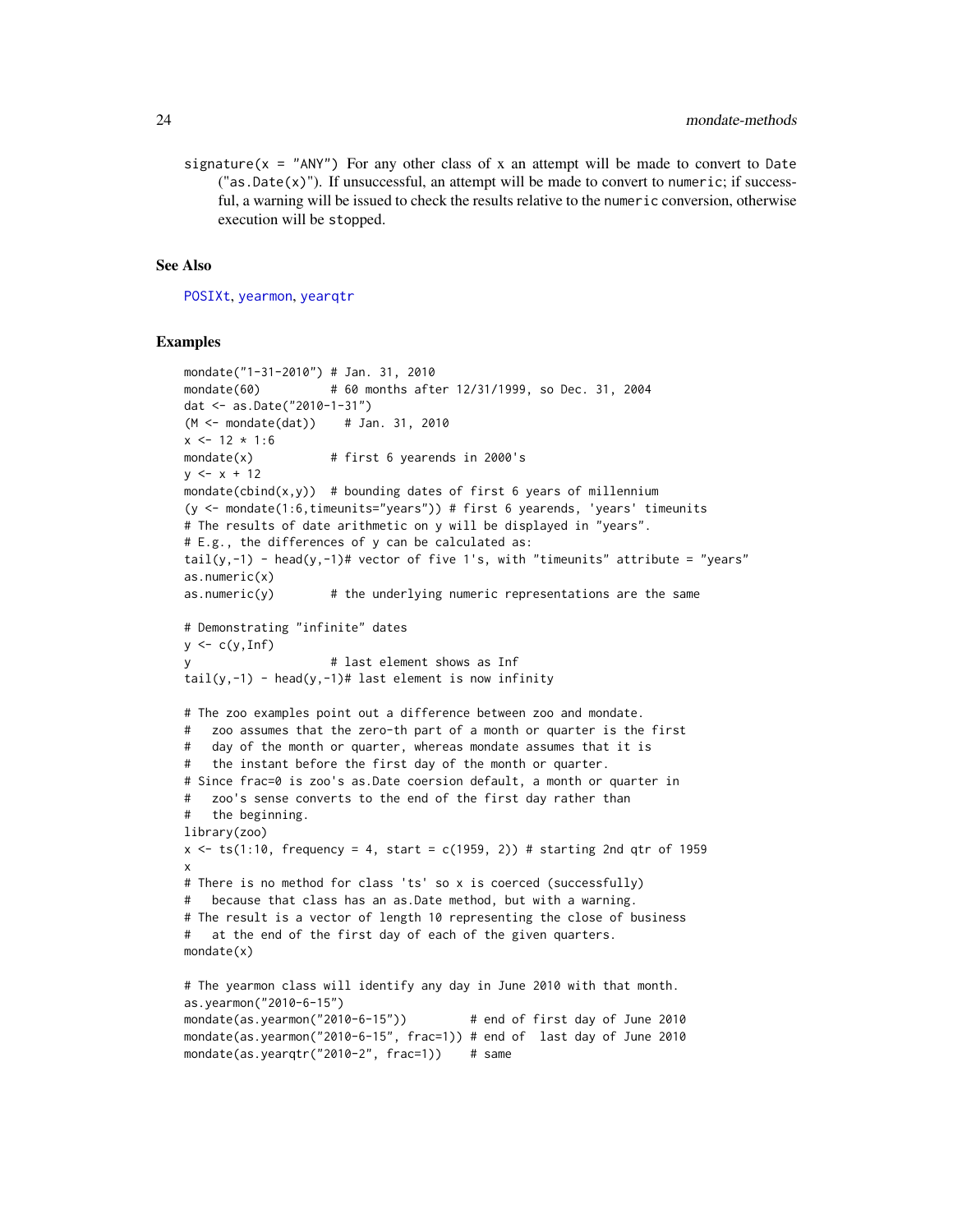<span id="page-23-0"></span>signature( $x =$  "ANY") For any other class of x an attempt will be made to convert to Date  $("as.Date(x)").$  If unsuccessful, an attempt will be made to convert to numeric; if successful, a warning will be issued to check the results relative to the numeric conversion, otherwise execution will be stopped.

#### See Also

[POSIXt](#page-0-0), [yearmon](#page-0-0), [yearqtr](#page-0-0)

```
mondate("1-31-2010") # Jan. 31, 2010
mondate(60) # 60 months after 12/31/1999, so Dec. 31, 2004
dat <- as.Date("2010-1-31")
(M <- mondate(dat)) # Jan. 31, 2010
x \le -12 \times 1:6mondate(x) \# first 6 yearends in 2000's
y \le -x + 12mondate(cbind(x,y)) # bounding dates of first 6 years of millennium
(y <- mondate(1:6,timeunits="years")) # first 6 yearends, 'years' timeunits
# The results of date arithmetic on y will be displayed in "years".
# E.g., the differences of y can be calculated as:
tail(y,-1) - head(y,-1)# vector of five 1's, with "timeunits" attribute = "years"
as.numeric(x)
as.numeric(y) \# the underlying numeric representations are the same
# Demonstrating "infinite" dates
y \leftarrow c(y, Inf)y # last element shows as Inf
tail(y,-1) - head(y,-1)# last element is now infinity
# The zoo examples point out a difference between zoo and mondate.
# zoo assumes that the zero-th part of a month or quarter is the first
# day of the month or quarter, whereas mondate assumes that it is
# the instant before the first day of the month or quarter.
# Since frac=0 is zoo's as.Date coersion default, a month or quarter in
# zoo's sense converts to the end of the first day rather than
# the beginning.
library(zoo)
x \le -t s(1:10, f_{\text{requency}} = 4, \text{ start} = c(1959, 2)) # starting 2nd qtr of 1959
x
# There is no method for class 'ts' so x is coerced (successfully)
# because that class has an as.Date method, but with a warning.
# The result is a vector of length 10 representing the close of business
# at the end of the first day of each of the given quarters.
mondate(x)
# The yearmon class will identify any day in June 2010 with that month.
as.yearmon("2010-6-15")
mondate(as.yearmon("2010-6-15")) # end of first day of June 2010
mondate(as.yearmon("2010-6-15", frac=1)) # end of last day of June 2010
mondate(as.yearqtr("2010-2", frac=1)) # same
```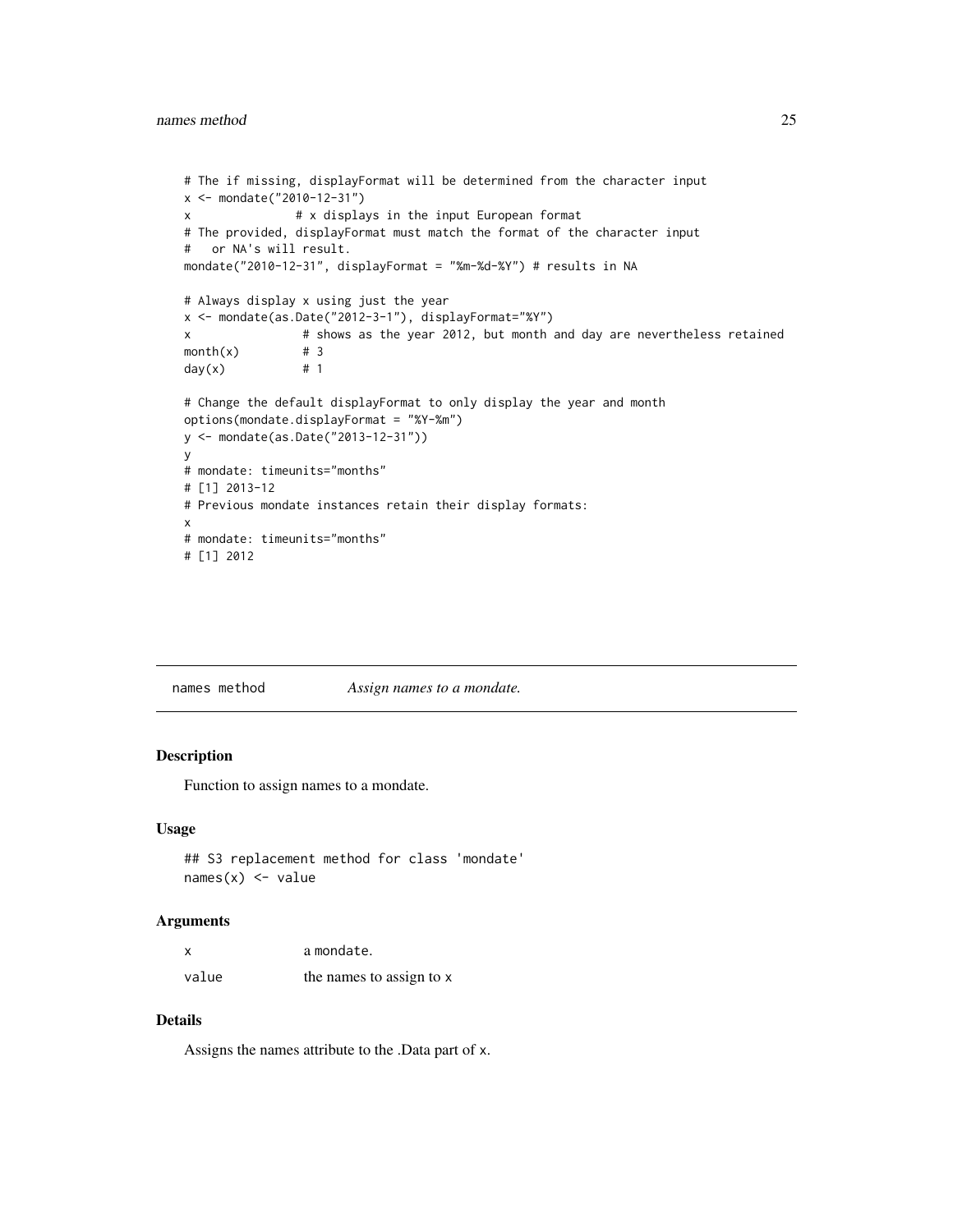```
# The if missing, displayFormat will be determined from the character input
x <- mondate("2010-12-31")
x # x displays in the input European format
# The provided, displayFormat must match the format of the character input
# or NA's will result.
mondate("2010-12-31", displayFormat = "%m-%d-%Y") # results in NA
# Always display x using just the year
x <- mondate(as.Date("2012-3-1"), displayFormat="%Y")
x # shows as the year 2012, but month and day are nevertheless retained
month(x) \# 3
day(x) # 1
# Change the default displayFormat to only display the year and month
options(mondate.displayFormat = "%Y-%m")
y <- mondate(as.Date("2013-12-31"))
y
# mondate: timeunits="months"
# [1] 2013-12
# Previous mondate instances retain their display formats:
x
# mondate: timeunits="months"
# [1] 2012
```
names method *Assign names to a mondate.*

#### Description

Function to assign names to a mondate.

#### Usage

```
## S3 replacement method for class 'mondate'
names(x) <- value
```
#### Arguments

| x     | a mondate.               |
|-------|--------------------------|
| value | the names to assign to x |

## Details

Assigns the names attribute to the .Data part of x.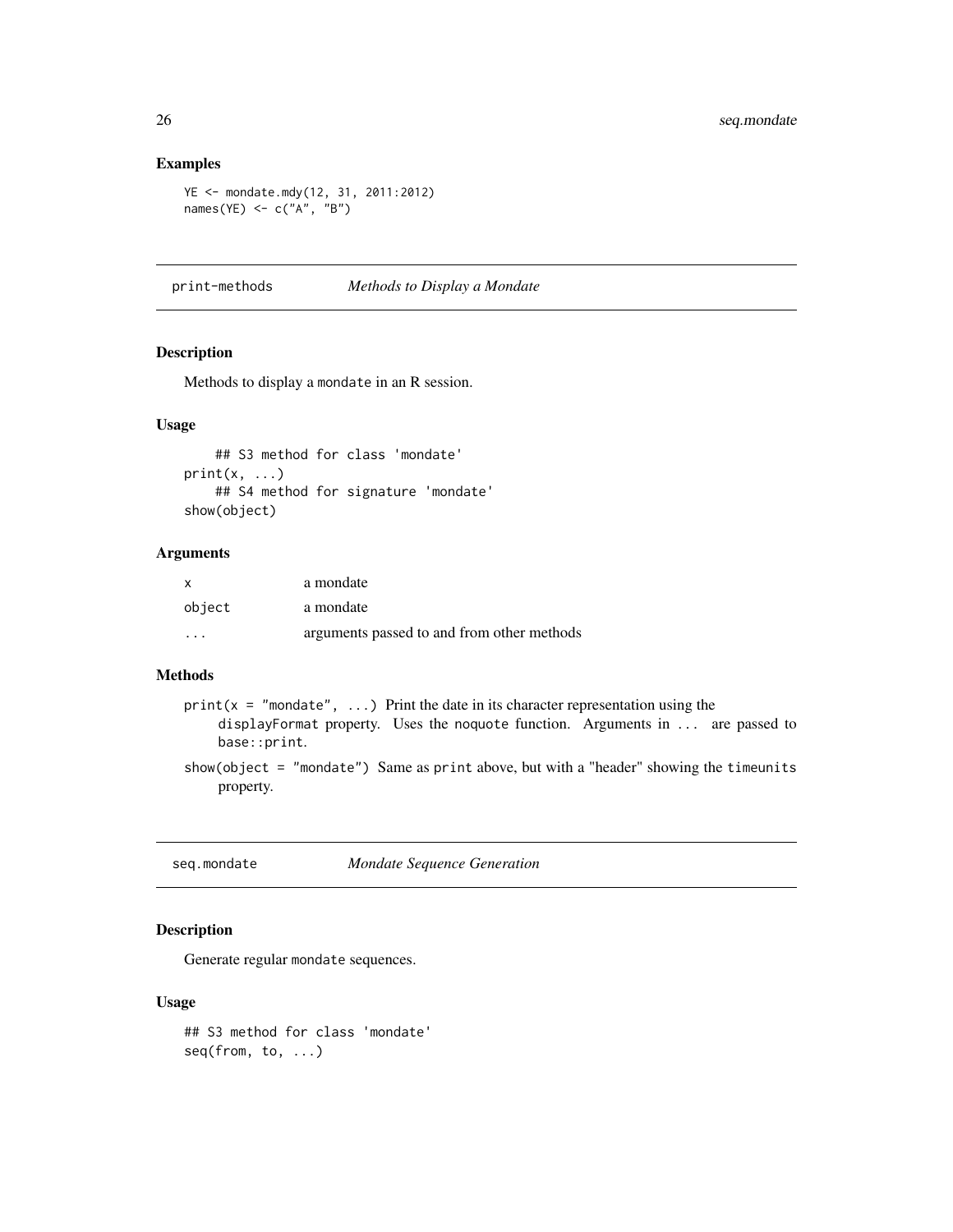## Examples

```
YE <- mondate.mdy(12, 31, 2011:2012)
names(YE) \leq c("A", "B")
```
print-methods *Methods to Display a Mondate*

## Description

Methods to display a mondate in an R session.

#### Usage

## S3 method for class 'mondate'  $print(x, \ldots)$ ## S4 method for signature 'mondate' show(object)

#### Arguments

| $\mathsf{x}$            | a mondate                                  |
|-------------------------|--------------------------------------------|
| object                  | a mondate                                  |
| $\cdot$ $\cdot$ $\cdot$ | arguments passed to and from other methods |

## Methods

- $print(x = "mondate", ...)$  Print the date in its character representation using the displayFormat property. Uses the noquote function. Arguments in ... are passed to base::print.
- show(object = "mondate") Same as print above, but with a "header" showing the timeunits property.

seq.mondate *Mondate Sequence Generation*

## <span id="page-25-1"></span>Description

Generate regular mondate sequences.

## Usage

## S3 method for class 'mondate' seq(from, to, ...)

<span id="page-25-0"></span>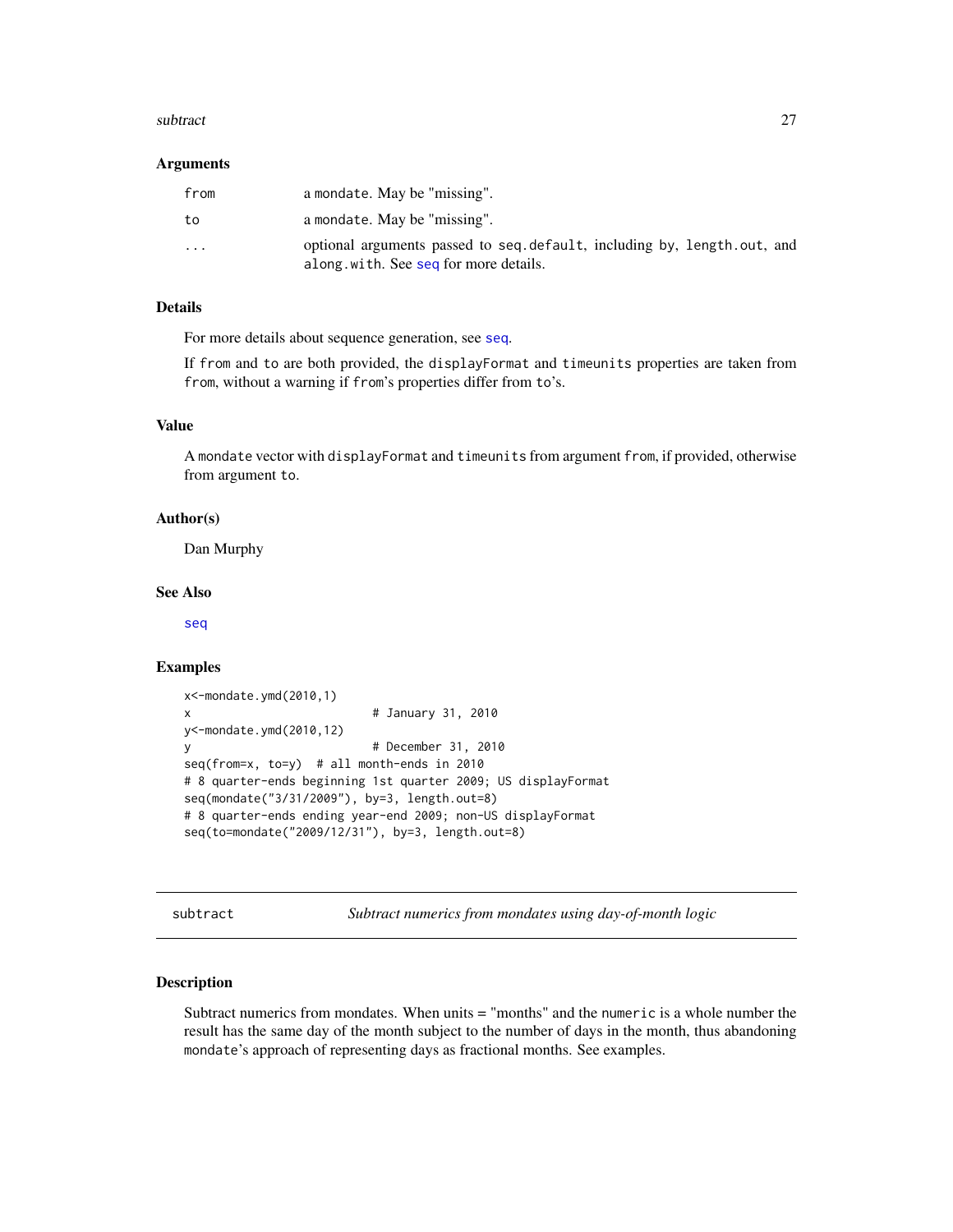#### <span id="page-26-0"></span>subtract 27

#### Arguments

| from                    | a mondate. May be "missing".                                                                                     |
|-------------------------|------------------------------------------------------------------------------------------------------------------|
| to                      | a mondate. May be "missing".                                                                                     |
| $\cdot$ $\cdot$ $\cdot$ | optional arguments passed to seq.default, including by, length.out, and<br>along with. See seq for more details. |

## Details

For more details about sequence generation, see [seq](#page-25-1).

If from and to are both provided, the displayFormat and timeunits properties are taken from from, without a warning if from's properties differ from to's.

## Value

A mondate vector with displayFormat and timeunits from argument from, if provided, otherwise from argument to.

#### Author(s)

Dan Murphy

#### See Also

[seq](#page-25-1)

## Examples

```
x<-mondate.ymd(2010,1)
x # January 31, 2010
y<-mondate.ymd(2010,12)
y # December 31, 2010
seq(from=x, to=y) # all month-ends in 2010
# 8 quarter-ends beginning 1st quarter 2009; US displayFormat
seq(mondate("3/31/2009"), by=3, length.out=8)
# 8 quarter-ends ending year-end 2009; non-US displayFormat
seq(to=mondate("2009/12/31"), by=3, length.out=8)
```
subtract *Subtract numerics from mondates using day-of-month logic*

## Description

Subtract numerics from mondates. When units = "months" and the numeric is a whole number the result has the same day of the month subject to the number of days in the month, thus abandoning mondate's approach of representing days as fractional months. See examples.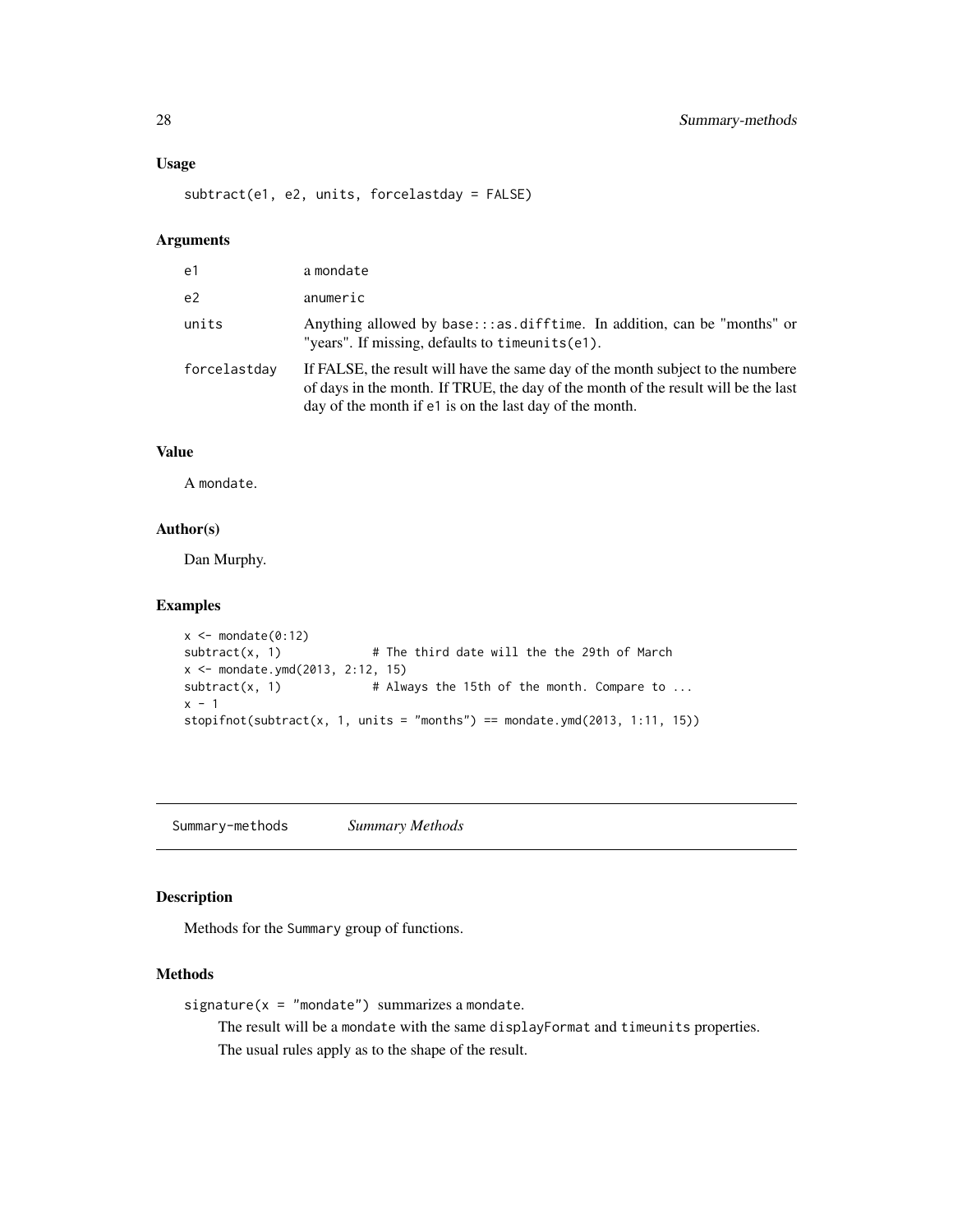## Usage

subtract(e1, e2, units, forcelastday = FALSE)

#### Arguments

| e <sub>1</sub> | a mondate                                                                                                                                                                                                                        |
|----------------|----------------------------------------------------------------------------------------------------------------------------------------------------------------------------------------------------------------------------------|
| e <sub>2</sub> | anumeric                                                                                                                                                                                                                         |
| units          | Anything allowed by base:::as.difftime. In addition, can be "months" or<br>"years". If missing, defaults to $t$ imeunits $(e1)$ .                                                                                                |
| forcelastday   | If FALSE, the result will have the same day of the month subject to the numbere<br>of days in the month. If TRUE, the day of the month of the result will be the last<br>day of the month if e1 is on the last day of the month. |

## Value

A mondate.

## Author(s)

Dan Murphy.

## Examples

```
x \leftarrow mondate(0:12)
subtract(x, 1) # The third date will the the 29th of March
x <- mondate.ymd(2013, 2:12, 15)
subtract(x, 1) # Always the 15th of the month. Compare to ...
x - 1stopifnot(subtract(x, 1, units = "months") == mondate.ymd(2013, 1:11, 15))
```
Summary-methods *Summary Methods*

## Description

Methods for the Summary group of functions.

## Methods

```
signature(x = "mondate") summarizes a mondate.
```
The result will be a mondate with the same displayFormat and timeunits properties. The usual rules apply as to the shape of the result.

<span id="page-27-0"></span>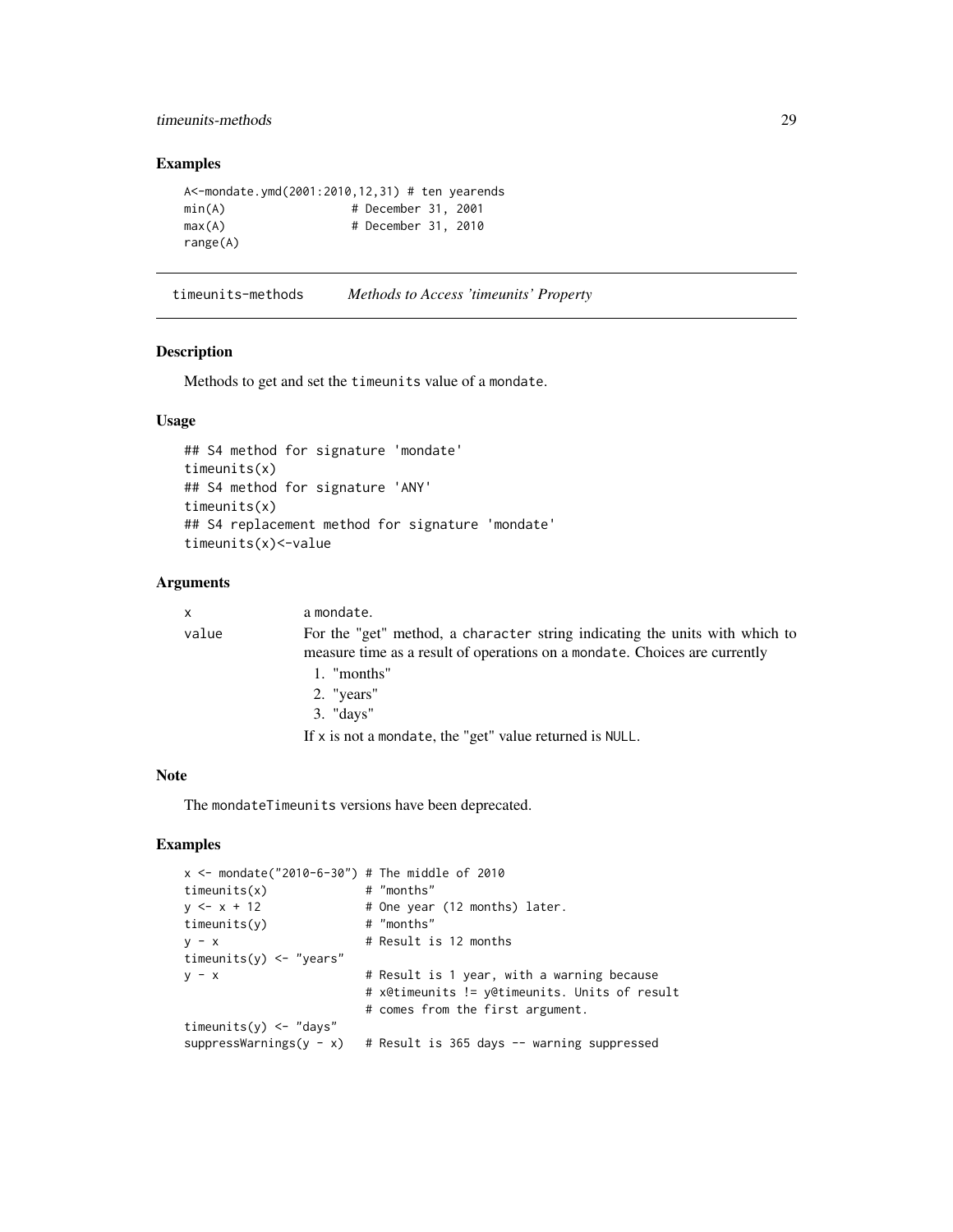## <span id="page-28-0"></span>timeunits-methods 29

## Examples

```
A<-mondate.ymd(2001:2010,12,31) # ten yearends
min(A) \# December 31, 2001
max(A) # December 31, 2010
range(A)
```
timeunits-methods *Methods to Access 'timeunits' Property*

## Description

Methods to get and set the timeunits value of a mondate.

## Usage

```
## S4 method for signature 'mondate'
timeunits(x)
## S4 method for signature 'ANY'
timeunits(x)
## S4 replacement method for signature 'mondate'
timeunits(x)<-value
```
#### Arguments

| $\mathsf{x}$ | a mondate.                                                                                                                                                |
|--------------|-----------------------------------------------------------------------------------------------------------------------------------------------------------|
| value        | For the "get" method, a character string indicating the units with which to<br>measure time as a result of operations on a mondate. Choices are currently |
|              | 1. "months"                                                                                                                                               |
|              | 2. "years"                                                                                                                                                |
|              | $3.$ "days"                                                                                                                                               |
|              | If $x$ is not a mondate, the "get" value returned is NULL.                                                                                                |

#### Note

The mondateTimeunits versions have been deprecated.

| $x \le -$ mondate("2010-6-30") # The middle of 2010 |                                               |
|-----------------------------------------------------|-----------------------------------------------|
| timeunits(x)                                        | # "months"                                    |
| $y \le -x + 12$                                     | # One year (12 months) later.                 |
| timeunits(y)                                        | # "months"                                    |
| $V - X$                                             | # Result is 12 months                         |
| timeunits(y) $\leq$ "years"                         |                                               |
| $y - x$                                             | # Result is 1 year, with a warning because    |
|                                                     | # x@timeunits != y@timeunits. Units of result |
|                                                     | # comes from the first argument.              |
| timeunits( $y$ ) <- "days"                          |                                               |
| $suppressWarnings(y - x)$                           | # Result is 365 days -- warning suppressed    |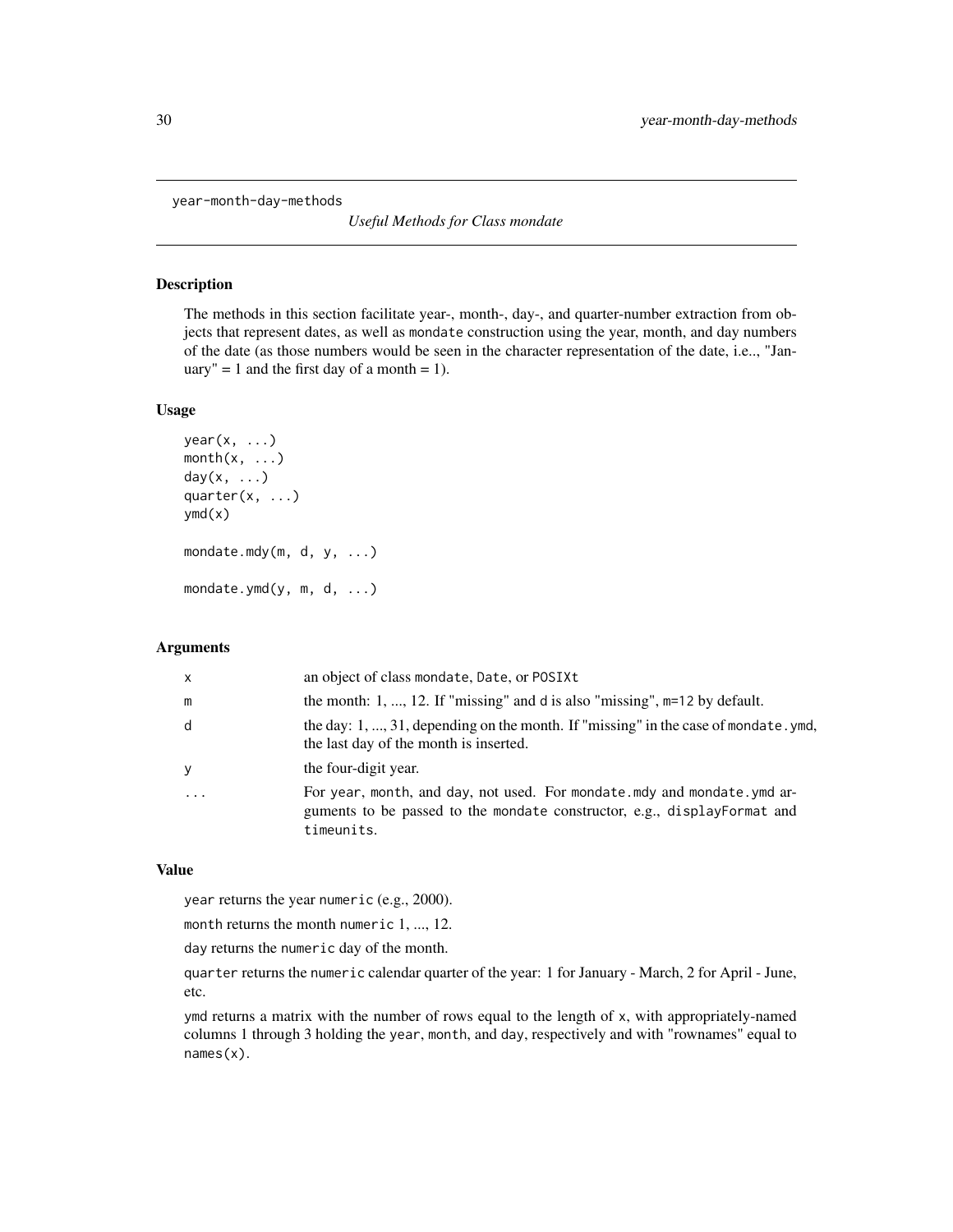<span id="page-29-0"></span>year-month-day-methods

*Useful Methods for Class mondate*

## Description

The methods in this section facilitate year-, month-, day-, and quarter-number extraction from objects that represent dates, as well as mondate construction using the year, month, and day numbers of the date (as those numbers would be seen in the character representation of the date, i.e.., "January" = 1 and the first day of a month = 1).

## Usage

```
year(x, ...)month(x, \ldots)day(x, \ldots)quarter(x, ...)
ymd(x)
mondate.mdy(m, d, y, ...)
mondate.ymd(y, m, d, ...)
```
#### Arguments

| $\times$ | an object of class mondate, Date, or POSIXt                                                                                                                       |
|----------|-------------------------------------------------------------------------------------------------------------------------------------------------------------------|
| m        | the month: 1, , 12. If "missing" and d is also "missing", $m=12$ by default.                                                                                      |
| d        | the day: 1, , 31, depending on the month. If "missing" in the case of mondate. ymd,<br>the last day of the month is inserted.                                     |
| y        | the four-digit year.                                                                                                                                              |
| .        | For year, month, and day, not used. For mondate mdy and mondate ymd ar-<br>guments to be passed to the mondate constructor, e.g., displayFormat and<br>timeunits. |

#### Value

year returns the year numeric (e.g., 2000).

month returns the month numeric 1, ..., 12.

day returns the numeric day of the month.

quarter returns the numeric calendar quarter of the year: 1 for January - March, 2 for April - June, etc.

ymd returns a matrix with the number of rows equal to the length of x, with appropriately-named columns 1 through 3 holding the year, month, and day, respectively and with "rownames" equal to names(x).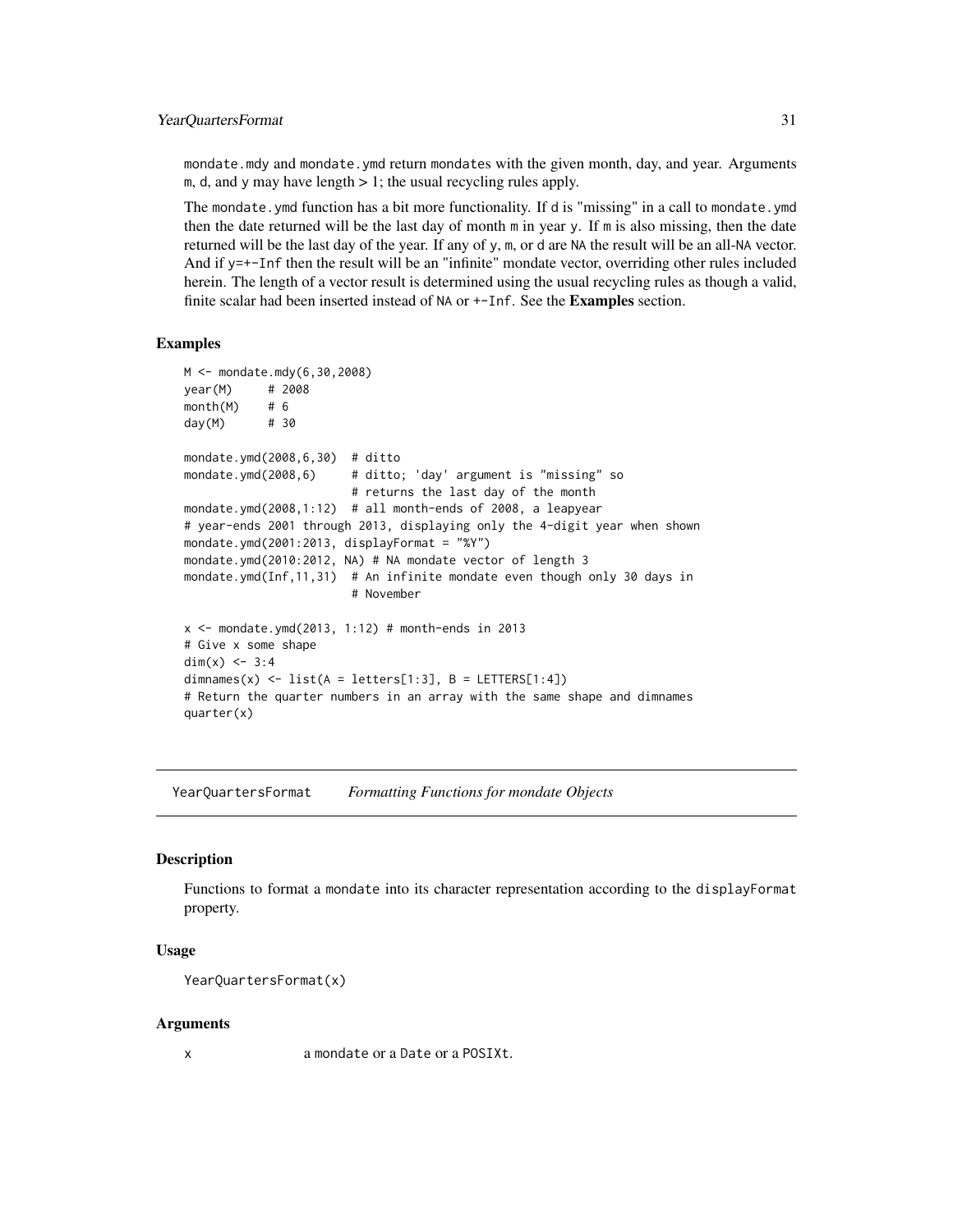#### <span id="page-30-0"></span>YearQuartersFormat 31

mondate.mdy and mondate.ymd return mondates with the given month, day, and year. Arguments m, d, and y may have length  $> 1$ ; the usual recycling rules apply.

The mondate.ymd function has a bit more functionality. If d is "missing" in a call to mondate.ymd then the date returned will be the last day of month m in year y. If m is also missing, then the date returned will be the last day of the year. If any of y, m, or d are NA the result will be an all-NA vector. And if y=+-Inf then the result will be an "infinite" mondate vector, overriding other rules included herein. The length of a vector result is determined using the usual recycling rules as though a valid, finite scalar had been inserted instead of NA or  $+-$ Inf. See the Examples section.

#### Examples

```
M <- mondate.mdy(6,30,2008)
year(M) # 2008
month(M) # 6
day(M) # 30
mondate.ymd(2008,6,30) # ditto
mondate.ymd(2008,6) # ditto; 'day' argument is "missing" so
                        # returns the last day of the month
mondate.ymd(2008,1:12) # all month-ends of 2008, a leapyear
# year-ends 2001 through 2013, displaying only the 4-digit year when shown
mondate.ymd(2001:2013, displayFormat = "%Y")
mondate.ymd(2010:2012, NA) # NA mondate vector of length 3
mondate.ymd(Inf,11,31) # An infinite mondate even though only 30 days in
                        # November
x \le - mondate.ymd(2013, 1:12) # month-ends in 2013
# Give x some shape
dim(x) <-3:4dimnames(x) <- list(A = \text{letters}[1:3], B = \text{LETTERS}[1:4])
# Return the quarter numbers in an array with the same shape and dimnames
quarter(x)
```
YearQuartersFormat *Formatting Functions for mondate Objects*

#### **Description**

Functions to format a mondate into its character representation according to the displayFormat property.

#### Usage

```
YearQuartersFormat(x)
```
#### Arguments

x a mondate or a Date or a POSIXt.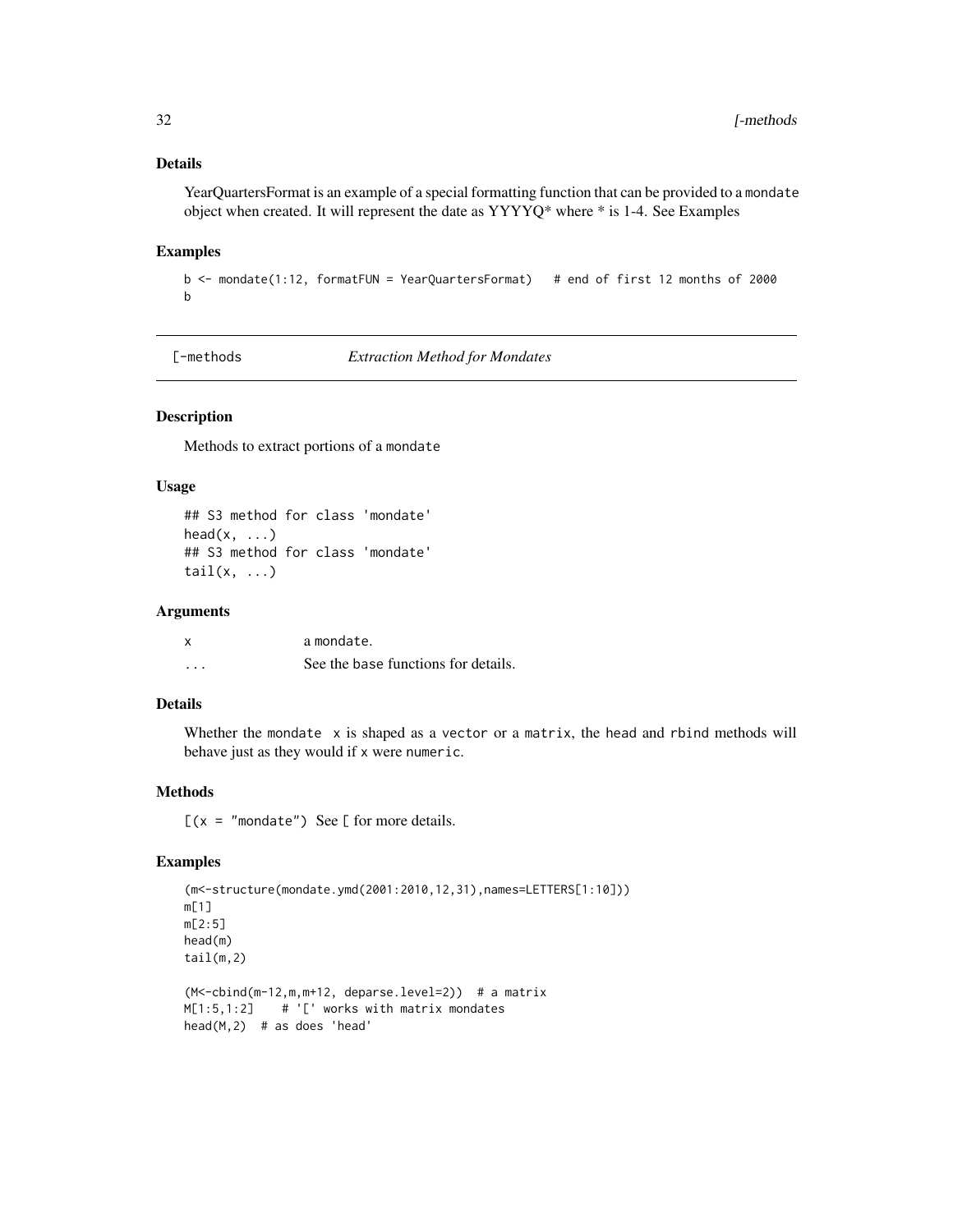## <span id="page-31-0"></span>Details

YearQuartersFormat is an example of a special formatting function that can be provided to a mondate object when created. It will represent the date as YYYYQ\* where \* is 1-4. See Examples

#### Examples

```
b <- mondate(1:12, formatFUN = YearQuartersFormat) # end of first 12 months of 2000
b
```
[-methods *Extraction Method for Mondates*

## Description

Methods to extract portions of a mondate

## Usage

```
## S3 method for class 'mondate'
head(x, \ldots)## S3 method for class 'mondate'
tail(x, \ldots)
```
#### Arguments

|          | a mondate.                          |
|----------|-------------------------------------|
| $\cdots$ | See the base functions for details. |

## Details

Whether the mondate  $x$  is shaped as a vector or a matrix, the head and rbind methods will behave just as they would if x were numeric.

#### Methods

 $[(x = "mondate") \text{ See } [for more details.$ 

```
(m<-structure(mondate.ymd(2001:2010,12,31),names=LETTERS[1:10]))
m[1]
m[2:5]
head(m)
tail(m,2)
(M<-cbind(m-12,m,m+12, deparse.level=2)) # a matrix
M[1:5,1:2] # '[' works with matrix mondates
```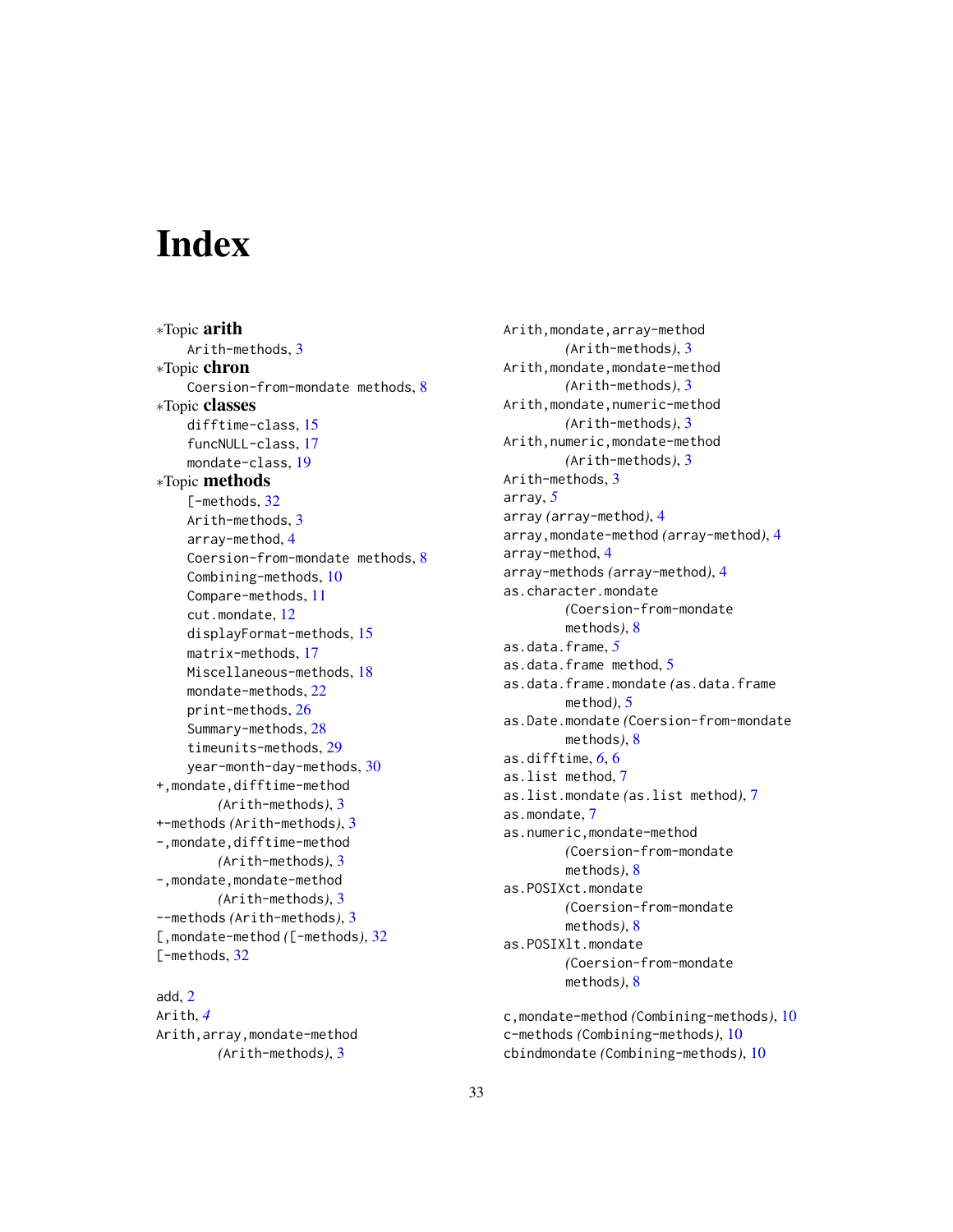# <span id="page-32-0"></span>**Index**

∗Topic arith Arith-methods, [3](#page-2-0) ∗Topic chron Coersion-from-mondate methods, [8](#page-7-0) ∗Topic classes difftime-class, [15](#page-14-0) funcNULL-class, [17](#page-16-0) mondate-class, [19](#page-18-0) ∗Topic methods [-methods, [32](#page-31-0)] Arith-methods, [3](#page-2-0) array-method, [4](#page-3-0) Coersion-from-mondate methods, [8](#page-7-0) Combining-methods, [10](#page-9-0) Compare-methods, [11](#page-10-0) cut.mondate, [12](#page-11-0) displayFormat-methods, [15](#page-14-0) matrix-methods, [17](#page-16-0) Miscellaneous-methods, [18](#page-17-0) mondate-methods, [22](#page-21-0) print-methods, [26](#page-25-0) Summary-methods, [28](#page-27-0) timeunits-methods, [29](#page-28-0) year-month-day-methods, [30](#page-29-0) +,mondate,difftime-method *(*Arith-methods*)*, [3](#page-2-0) +-methods *(*Arith-methods*)*, [3](#page-2-0) -,mondate,difftime-method *(*Arith-methods*)*, [3](#page-2-0) -,mondate,mondate-method *(*Arith-methods*)*, [3](#page-2-0) --methods *(*Arith-methods*)*, [3](#page-2-0) [,mondate-method *(*[-methods*)*, [32](#page-31-0) [-methods, [32](#page-31-0)]

add, [2](#page-1-0) Arith, *[4](#page-3-0)* Arith,array,mondate-method *(*Arith-methods*)*, [3](#page-2-0)

Arith,mondate,array-method *(*Arith-methods*)*, [3](#page-2-0) Arith,mondate,mondate-method *(*Arith-methods*)*, [3](#page-2-0) Arith,mondate,numeric-method *(*Arith-methods*)*, [3](#page-2-0) Arith,numeric,mondate-method *(*Arith-methods*)*, [3](#page-2-0) Arith-methods, [3](#page-2-0) array, *[5](#page-4-0)* array *(*array-method*)*, [4](#page-3-0) array,mondate-method *(*array-method*)*, [4](#page-3-0) array-method, [4](#page-3-0) array-methods *(*array-method*)*, [4](#page-3-0) as.character.mondate *(*Coersion-from-mondate methods*)*, [8](#page-7-0) as.data.frame, *[5](#page-4-0)* as.data.frame method, [5](#page-4-0) as.data.frame.mondate *(*as.data.frame method*)*, [5](#page-4-0) as.Date.mondate *(*Coersion-from-mondate methods*)*, [8](#page-7-0) as.difftime, *[6](#page-5-0)*, [6](#page-5-0) as.list method, [7](#page-6-0) as.list.mondate *(*as.list method*)*, [7](#page-6-0) as.mondate, [7](#page-6-0) as.numeric,mondate-method *(*Coersion-from-mondate methods*)*, [8](#page-7-0) as.POSIXct.mondate *(*Coersion-from-mondate methods*)*, [8](#page-7-0) as.POSIXlt.mondate *(*Coersion-from-mondate methods*)*, [8](#page-7-0)

c,mondate-method *(*Combining-methods*)*, [10](#page-9-0) c-methods *(*Combining-methods*)*, [10](#page-9-0) cbindmondate *(*Combining-methods*)*, [10](#page-9-0)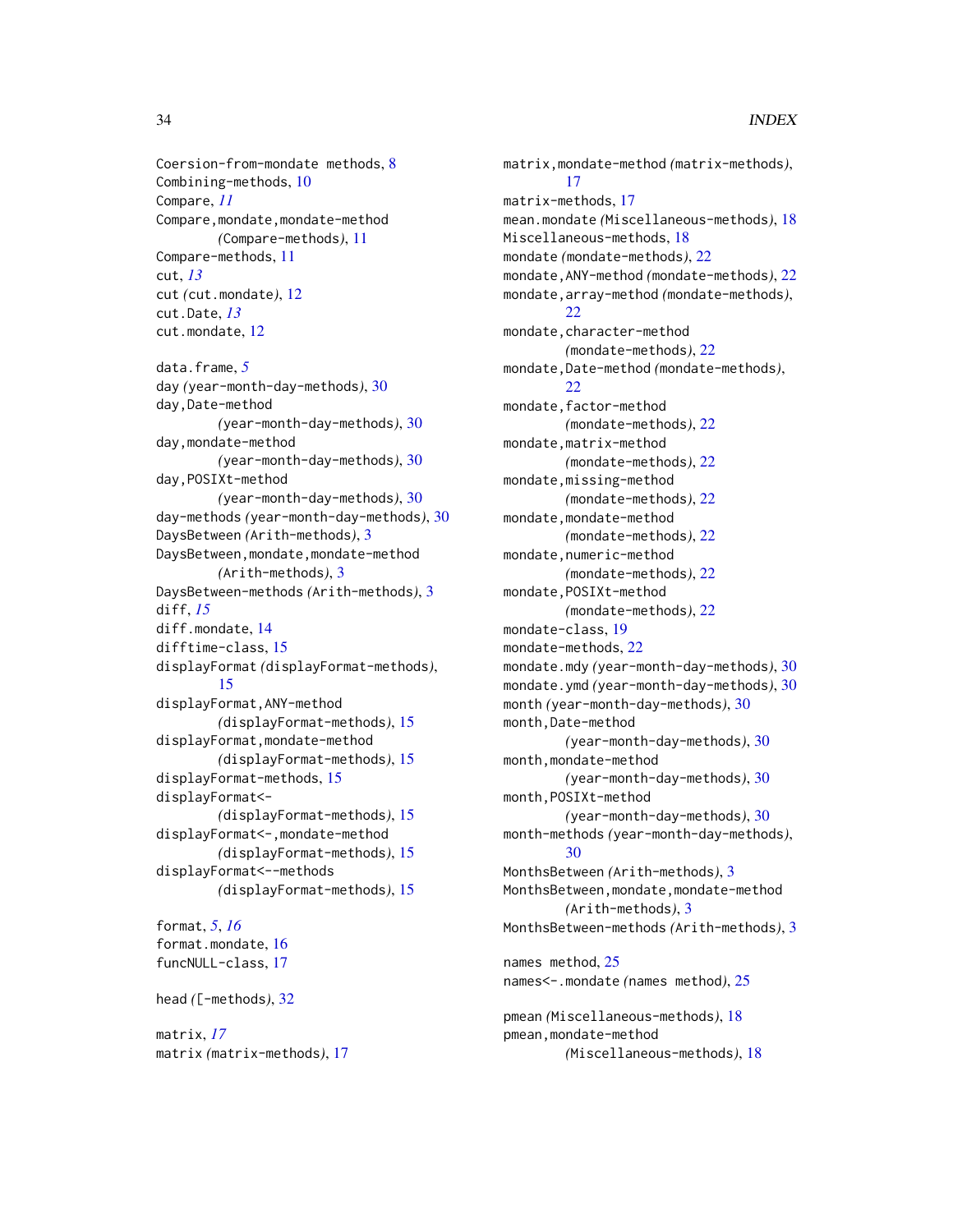Coersion-from-mondate methods, [8](#page-7-0) Combining-methods, [10](#page-9-0) Compare, *[11](#page-10-0)* Compare, mondate, mondate-method *(*Compare-methods*)*, [11](#page-10-0) Compare-methods, [11](#page-10-0) cut, *[13](#page-12-0)* cut *(*cut.mondate*)*, [12](#page-11-0) cut.Date, *[13](#page-12-0)* cut.mondate, [12](#page-11-0)

data.frame, *[5](#page-4-0)* day *(*year-month-day-methods*)*, [30](#page-29-0) day,Date-method *(*year-month-day-methods*)*, [30](#page-29-0) day,mondate-method *(*year-month-day-methods*)*, [30](#page-29-0) day,POSIXt-method *(*year-month-day-methods*)*, [30](#page-29-0) day-methods *(*year-month-day-methods*)*, [30](#page-29-0) DaysBetween *(*Arith-methods*)*, [3](#page-2-0) DaysBetween,mondate,mondate-method *(*Arith-methods*)*, [3](#page-2-0) DaysBetween-methods *(*Arith-methods*)*, [3](#page-2-0) diff, *[15](#page-14-0)* diff.mondate, [14](#page-13-0) difftime-class, [15](#page-14-0) displayFormat *(*displayFormat-methods*)*, [15](#page-14-0) displayFormat,ANY-method *(*displayFormat-methods*)*, [15](#page-14-0) displayFormat,mondate-method *(*displayFormat-methods*)*, [15](#page-14-0) displayFormat-methods, [15](#page-14-0) displayFormat<- *(*displayFormat-methods*)*, [15](#page-14-0) displayFormat<-,mondate-method *(*displayFormat-methods*)*, [15](#page-14-0) displayFormat<--methods *(*displayFormat-methods*)*, [15](#page-14-0)

format, *[5](#page-4-0)*, *[16](#page-15-0)* format.mondate, [16](#page-15-0) funcNULL-class, [17](#page-16-0) head *(*[-methods*)*, [32](#page-31-0) matrix, *[17](#page-16-0)*

matrix *(*matrix-methods*)*, [17](#page-16-0)

matrix,mondate-method *(*matrix-methods*)*, [17](#page-16-0) matrix-methods, [17](#page-16-0) mean.mondate *(*Miscellaneous-methods*)*, [18](#page-17-0) Miscellaneous-methods, [18](#page-17-0) mondate *(*mondate-methods*)*, [22](#page-21-0) mondate,ANY-method *(*mondate-methods*)*, [22](#page-21-0) mondate,array-method *(*mondate-methods*)*, [22](#page-21-0) mondate, character-method *(*mondate-methods*)*, [22](#page-21-0) mondate,Date-method *(*mondate-methods*)*,  $22$ mondate, factor-method *(*mondate-methods*)*, [22](#page-21-0) mondate,matrix-method *(*mondate-methods*)*, [22](#page-21-0) mondate,missing-method *(*mondate-methods*)*, [22](#page-21-0) mondate,mondate-method *(*mondate-methods*)*, [22](#page-21-0) mondate, numeric-method *(*mondate-methods*)*, [22](#page-21-0) mondate,POSIXt-method *(*mondate-methods*)*, [22](#page-21-0) mondate-class, [19](#page-18-0) mondate-methods, [22](#page-21-0) mondate.mdy *(*year-month-day-methods*)*, [30](#page-29-0) mondate.ymd *(*year-month-day-methods*)*, [30](#page-29-0) month *(*year-month-day-methods*)*, [30](#page-29-0) month,Date-method *(*year-month-day-methods*)*, [30](#page-29-0) month,mondate-method *(*year-month-day-methods*)*, [30](#page-29-0) month,POSIXt-method *(*year-month-day-methods*)*, [30](#page-29-0) month-methods *(*year-month-day-methods*)*,  $30$ MonthsBetween *(*Arith-methods*)*, [3](#page-2-0) MonthsBetween, mondate, mondate-method *(*Arith-methods*)*, [3](#page-2-0) MonthsBetween-methods *(*Arith-methods*)*, [3](#page-2-0) names method, [25](#page-24-0) names<-.mondate *(*names method*)*, [25](#page-24-0) pmean *(*Miscellaneous-methods*)*, [18](#page-17-0) pmean, mondate-method *(*Miscellaneous-methods*)*, [18](#page-17-0)